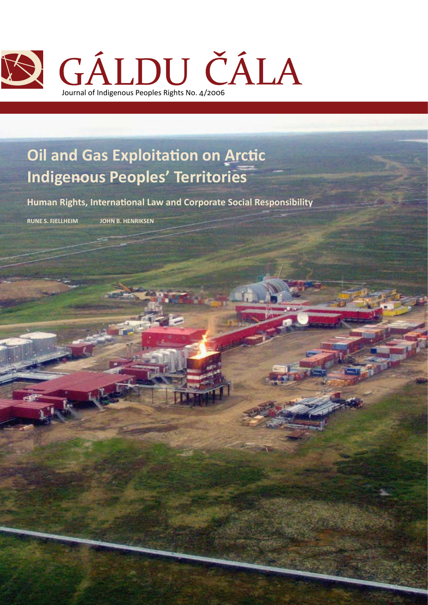

# **Oil and Gas Exploitation on Arctic Indigenous Peoples' Territories**

**Human Rights, International Law and Corporate Social Responsibility**

ś

**Rune S. Fjellheim John B. Henriksen**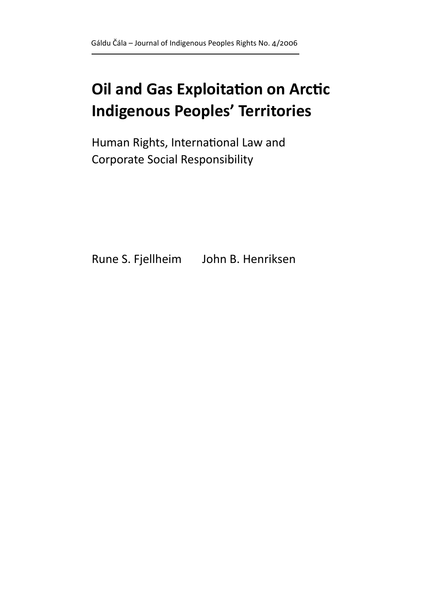# **Oil and Gas Exploitation on Arctic Indigenous Peoples' Territories**

Human Rights, International Law and Corporate Social Responsibility

Rune S. Fjellheim John B. Henriksen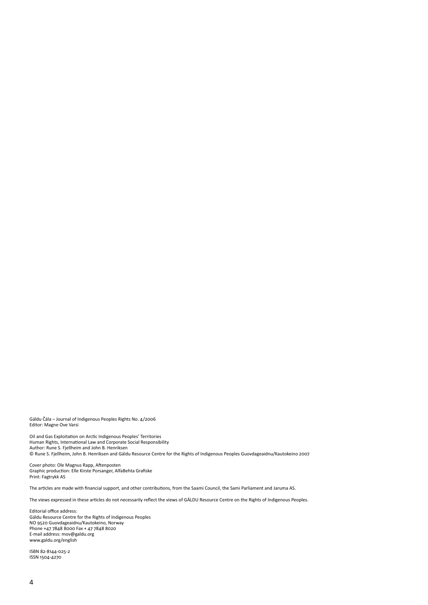Gáldu Čála – Journal of Indigenous Peoples Rights No. 4/2006 Editor: Magne Ove Varsi

Oil and Gas Exploitation on Arctic Indigenous Peoples' Territories Human Rights, International Law and Corporate Social Responsibility Author: Rune S. Fjellheim and John B. Henriksen © Rune S. Fjellheim, John B. Henriksen and Gáldu Resource Centre for the Rights of Indigenous Peoples Guovdageaidnu/Kautokeino 2007

Cover photo: Ole Magnus Rapp, Aftenposten Graphic production: Elle Kirste Porsanger, AlfaBehta Grafiske Print: Fagtrykk AS

The articles are made with financial support, and other contributions, from the Saami Council, the Sami Parliament and Jaruma AS.

The views expressed in these articles do not necessarily reflect the views of GÁLDU Resource Centre on the Rights of Indigenous Peoples.

Editorial office address: Gáldu Resource Centre for the Rights of Indigenous Peoples NO 9520 Guovdageaidnu/Kautokeino, Norway Phone +47 7848 8000 Fax + 47 7848 8020 E-mail address: mov@galdu.org www.galdu.org/english

ISBN 82-8144-025-2 ISSN 1504-4270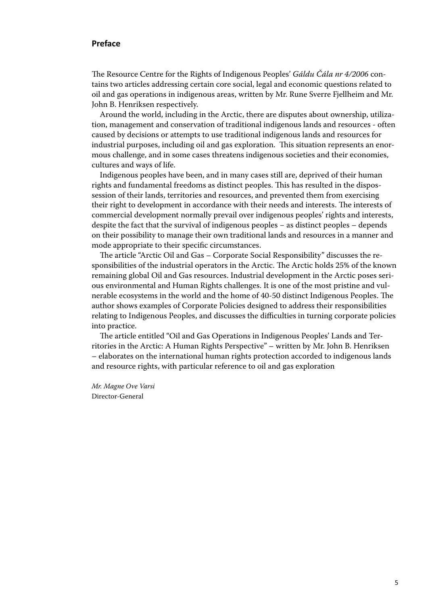#### **Preface**

The Resource Centre for the Rights of Indigenous Peoples' *Gáldu Čála nr 4/2006* contains two articles addressing certain core social, legal and economic questions related to oil and gas operations in indigenous areas, written by Mr. Rune Sverre Fjellheim and Mr. John B. Henriksen respectively.

Around the world, including in the Arctic, there are disputes about ownership, utilization, management and conservation of traditional indigenous lands and resources - often caused by decisions or attempts to use traditional indigenous lands and resources for industrial purposes, including oil and gas exploration. This situation represents an enormous challenge, and in some cases threatens indigenous societies and their economies, cultures and ways of life.

Indigenous peoples have been, and in many cases still are, deprived of their human rights and fundamental freedoms as distinct peoples. This has resulted in the dispossession of their lands, territories and resources, and prevented them from exercising their right to development in accordance with their needs and interests. The interests of commercial development normally prevail over indigenous peoples' rights and interests, despite the fact that the survival of indigenous peoples − as distinct peoples – depends on their possibility to manage their own traditional lands and resources in a manner and mode appropriate to their specific circumstances.

The article "Arctic Oil and Gas – Corporate Social Responsibility" discusses the responsibilities of the industrial operators in the Arctic. The Arctic holds 25% of the known remaining global Oil and Gas resources. Industrial development in the Arctic poses serious environmental and Human Rights challenges. It is one of the most pristine and vulnerable ecosystems in the world and the home of 40-50 distinct Indigenous Peoples. The author shows examples of Corporate Policies designed to address their responsibilities relating to Indigenous Peoples, and discusses the difficulties in turning corporate policies into practice.

The article entitled "Oil and Gas Operations in Indigenous Peoples' Lands and Territories in the Arctic: A Human Rights Perspective" – written by Mr. John B. Henriksen – elaborates on the international human rights protection accorded to indigenous lands and resource rights, with particular reference to oil and gas exploration

*Mr. Magne Ove Varsi* Director-General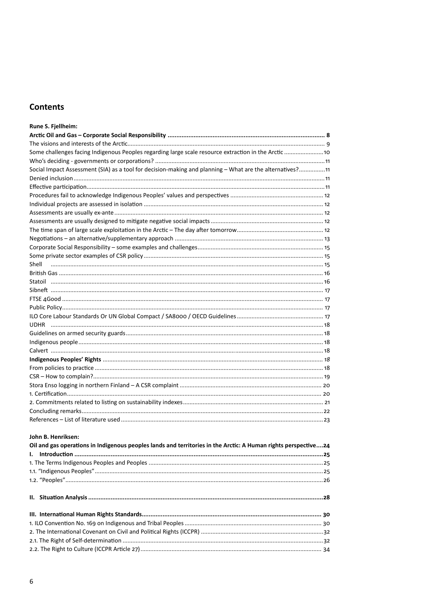## **Contents**

| Rune S. Fjellheim:                                                                                                                   |  |
|--------------------------------------------------------------------------------------------------------------------------------------|--|
|                                                                                                                                      |  |
|                                                                                                                                      |  |
|                                                                                                                                      |  |
|                                                                                                                                      |  |
| Social Impact Assessment (SIA) as a tool for decision-making and planning - What are the alternatives?11                             |  |
|                                                                                                                                      |  |
|                                                                                                                                      |  |
|                                                                                                                                      |  |
|                                                                                                                                      |  |
|                                                                                                                                      |  |
|                                                                                                                                      |  |
|                                                                                                                                      |  |
|                                                                                                                                      |  |
|                                                                                                                                      |  |
|                                                                                                                                      |  |
| Shell                                                                                                                                |  |
|                                                                                                                                      |  |
|                                                                                                                                      |  |
|                                                                                                                                      |  |
|                                                                                                                                      |  |
|                                                                                                                                      |  |
|                                                                                                                                      |  |
|                                                                                                                                      |  |
|                                                                                                                                      |  |
|                                                                                                                                      |  |
|                                                                                                                                      |  |
|                                                                                                                                      |  |
|                                                                                                                                      |  |
|                                                                                                                                      |  |
|                                                                                                                                      |  |
|                                                                                                                                      |  |
|                                                                                                                                      |  |
|                                                                                                                                      |  |
|                                                                                                                                      |  |
|                                                                                                                                      |  |
|                                                                                                                                      |  |
| John B. Henriksen:<br>Oil and gas operations in Indigenous peoples lands and territories in the Arctic: A Human rights perspective24 |  |
|                                                                                                                                      |  |
|                                                                                                                                      |  |
|                                                                                                                                      |  |
|                                                                                                                                      |  |
|                                                                                                                                      |  |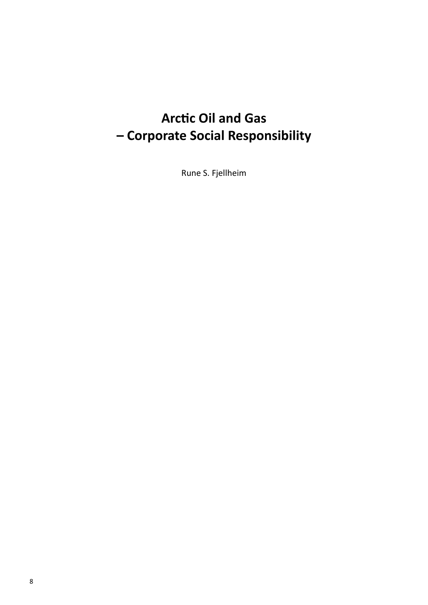# **Arctic Oil and Gas – Corporate Social Responsibility**

Rune S. Fjellheim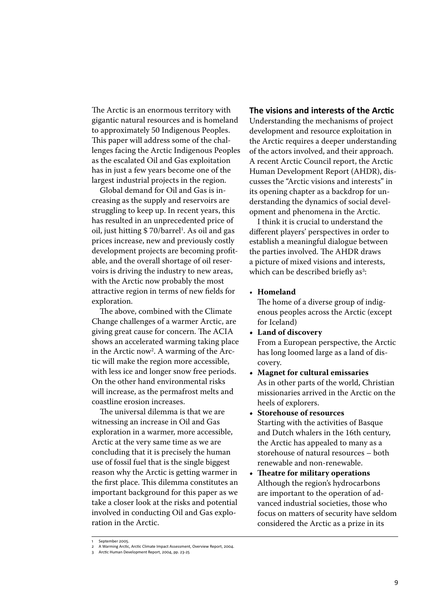The Arctic is an enormous territory with gigantic natural resources and is homeland to approximately 50 Indigenous Peoples. This paper will address some of the challenges facing the Arctic Indigenous Peoples as the escalated Oil and Gas exploitation has in just a few years become one of the largest industrial projects in the region.

Global demand for Oil and Gas is increasing as the supply and reservoirs are struggling to keep up. In recent years, this has resulted in an unprecedented price of oil, just hitting \$ 70/barrel . As oil and gas prices increase, new and previously costly development projects are becoming profitable, and the overall shortage of oil reservoirs is driving the industry to new areas, with the Arctic now probably the most attractive region in terms of new fields for exploration.

The above, combined with the Climate Change challenges of a warmer Arctic, are giving great cause for concern. The ACIA shows an accelerated warming taking place in the Arctic now<sup>2</sup>. A warming of the Arctic will make the region more accessible, with less ice and longer snow free periods. On the other hand environmental risks will increase, as the permafrost melts and coastline erosion increases.

The universal dilemma is that we are witnessing an increase in Oil and Gas exploration in a warmer, more accessible, Arctic at the very same time as we are concluding that it is precisely the human use of fossil fuel that is the single biggest reason why the Arctic is getting warmer in the first place. This dilemma constitutes an important background for this paper as we take a closer look at the risks and potential involved in conducting Oil and Gas exploration in the Arctic.

#### **The visions and interests of the Arctic**

Understanding the mechanisms of project development and resource exploitation in the Arctic requires a deeper understanding of the actors involved, and their approach. A recent Arctic Council report, the Arctic Human Development Report (AHDR), discusses the "Arctic visions and interests" in its opening chapter as a backdrop for understanding the dynamics of social development and phenomena in the Arctic.

I think it is crucial to understand the different players' perspectives in order to establish a meaningful dialogue between the parties involved. The AHDR draws a picture of mixed visions and interests, which can be described briefly as :

#### • **Homeland**

The home of a diverse group of indigenous peoples across the Arctic (except for Iceland)

**• Land of discovery**

From a European perspective, the Arctic has long loomed large as a land of discovery.

- **• Magnet for cultural emissaries** As in other parts of the world, Christian missionaries arrived in the Arctic on the heels of explorers.
- **• Storehouse of resources** Starting with the activities of Basque and Dutch whalers in the 16th century, the Arctic has appealed to many as a storehouse of natural resources – both renewable and non-renewable.
- **• Theatre for military operations** Although the region's hydrocarbons are important to the operation of advanced industrial societies, those who focus on matters of security have seldom considered the Arctic as a prize in its

Sentember 2005

<sup>2</sup> A Warming Arctic, Arctic Climate Impact Assessment, Overview Report, 2004.

<sup>3</sup> Arctic Human Development Report, 2004, pp. 23-25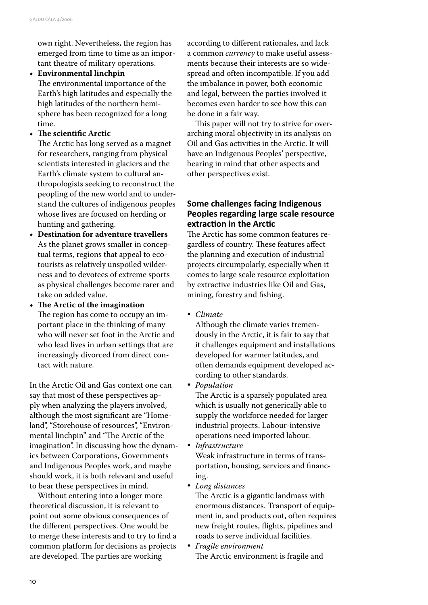own right. Nevertheless, the region has emerged from time to time as an important theatre of military operations.

- **• Environmental linchpin** The environmental importance of the Earth's high latitudes and especially the high latitudes of the northern hemisphere has been recognized for a long time.
- **• The scientific Arctic**

The Arctic has long served as a magnet for researchers, ranging from physical scientists interested in glaciers and the Earth's climate system to cultural anthropologists seeking to reconstruct the peopling of the new world and to understand the cultures of indigenous peoples whose lives are focused on herding or hunting and gathering.

- **• Destination for adventure travellers** As the planet grows smaller in conceptual terms, regions that appeal to ecotourists as relatively unspoiled wilderness and to devotees of extreme sports as physical challenges become rarer and take on added value.
- **• The Arctic of the imagination** The region has come to occupy an important place in the thinking of many who will never set foot in the Arctic and who lead lives in urban settings that are increasingly divorced from direct contact with nature.

In the Arctic Oil and Gas context one can say that most of these perspectives apply when analyzing the players involved, although the most significant are "Homeland", "Storehouse of resources", "Environmental linchpin" and "The Arctic of the imagination". In discussing how the dynamics between Corporations, Governments and Indigenous Peoples work, and maybe should work, it is both relevant and useful to bear these perspectives in mind.

Without entering into a longer more theoretical discussion, it is relevant to point out some obvious consequences of the different perspectives. One would be to merge these interests and to try to find a common platform for decisions as projects are developed. The parties are working

according to different rationales, and lack a common *currency* to make useful assessments because their interests are so widespread and often incompatible. If you add the imbalance in power, both economic and legal, between the parties involved it becomes even harder to see how this can be done in a fair way.

This paper will not try to strive for overarching moral objectivity in its analysis on Oil and Gas activities in the Arctic. It will have an Indigenous Peoples' perspective, bearing in mind that other aspects and other perspectives exist.

### **Some challenges facing Indigenous Peoples regarding large scale resource extraction in the Arctic**

The Arctic has some common features regardless of country. These features affect the planning and execution of industrial projects circumpolarly, especially when it comes to large scale resource exploitation by extractive industries like Oil and Gas, mining, forestry and fishing.

• *Climate*

Although the climate varies tremendously in the Arctic, it is fair to say that it challenges equipment and installations developed for warmer latitudes, and often demands equipment developed according to other standards.

- • *Population* The Arctic is a sparsely populated area which is usually not generically able to supply the workforce needed for larger industrial projects. Labour-intensive operations need imported labour.
- • *Infrastructure* Weak infrastructure in terms of transportation, housing, services and financing.
- • *Long distances*

The Arctic is a gigantic landmass with enormous distances. Transport of equipment in, and products out, often requires new freight routes, flights, pipelines and roads to serve individual facilities.

• *Fragile environment* The Arctic environment is fragile and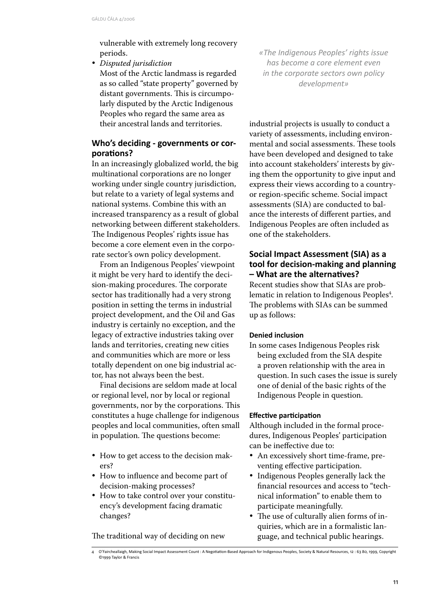vulnerable with extremely long recovery periods.

• *Disputed jurisdiction* Most of the Arctic landmass is regarded as so called "state property" governed by distant governments. This is circumpolarly disputed by the Arctic Indigenous Peoples who regard the same area as their ancestral lands and territories.

#### **Who's deciding - governments or corporations?**

In an increasingly globalized world, the big multinational corporations are no longer working under single country jurisdiction, but relate to a variety of legal systems and national systems. Combine this with an increased transparency as a result of global networking between different stakeholders. The Indigenous Peoples' rights issue has become a core element even in the corporate sector's own policy development.

From an Indigenous Peoples' viewpoint it might be very hard to identify the decision-making procedures. The corporate sector has traditionally had a very strong position in setting the terms in industrial project development, and the Oil and Gas industry is certainly no exception, and the legacy of extractive industries taking over lands and territories, creating new cities and communities which are more or less totally dependent on one big industrial actor, has not always been the best.

Final decisions are seldom made at local or regional level, nor by local or regional governments, nor by the corporations. This constitutes a huge challenge for indigenous peoples and local communities, often small in population. The questions become:

- How to get access to the decision makers?
- How to influence and become part of decision-making processes?
- How to take control over your constituency's development facing dramatic changes?

The traditional way of deciding on new

*«The Indigenous Peoples' rights issue has become a core element even in the corporate sectors own policy development»*

industrial projects is usually to conduct a variety of assessments, including environmental and social assessments. These tools have been developed and designed to take into account stakeholders' interests by giving them the opportunity to give input and express their views according to a countryor region-specific scheme. Social impact assessments (SIA) are conducted to balance the interests of different parties, and Indigenous Peoples are often included as one of the stakeholders.

### **Social Impact Assessment (SIA) as a tool for decision-making and planning – What are the alternatives?**

Recent studies show that SIAs are problematic in relation to Indigenous Peoples<sup>4</sup>. The problems with SIAs can be summed up as follows:

#### **Denied inclusion**

In some cases Indigenous Peoples risk being excluded from the SIA despite a proven relationship with the area in question. In such cases the issue is surely one of denial of the basic rights of the Indigenous People in question.

#### **Effective participation**

Although included in the formal procedures, Indigenous Peoples' participation can be ineffective due to:

- An excessively short time-frame, preventing effective participation.
- Indigenous Peoples generally lack the financial resources and access to "technical information" to enable them to participate meaningfully.
- The use of culturally alien forms of inquiries, which are in a formalistic language, and technical public hearings.

<sup>4</sup> O'Faircheallaigh, Making Social Impact Assessment Count : A Negotiation-Based Approach for Indigenous Peoples, Society & Natural Resources, 12 : 63 80, 1999, Copyright ©1999 Taylor & Francis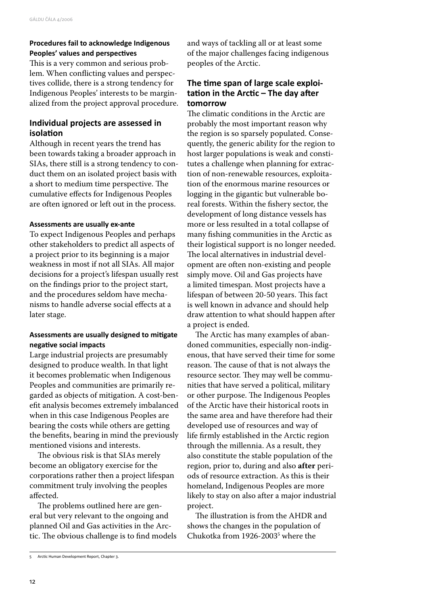#### **Procedures fail to acknowledge Indigenous Peoples' values and perspectives**

This is a very common and serious problem. When conflicting values and perspectives collide, there is a strong tendency for Indigenous Peoples' interests to be marginalized from the project approval procedure.

#### **Individual projects are assessed in isolation**

Although in recent years the trend has been towards taking a broader approach in SIAs, there still is a strong tendency to conduct them on an isolated project basis with a short to medium time perspective. The cumulative effects for Indigenous Peoples are often ignored or left out in the process.

#### **Assessments are usually ex-ante**

To expect Indigenous Peoples and perhaps other stakeholders to predict all aspects of a project prior to its beginning is a major weakness in most if not all SIAs. All major decisions for a project's lifespan usually rest on the findings prior to the project start, and the procedures seldom have mechanisms to handle adverse social effects at a later stage.

#### **Assessments are usually designed to mitigate negative social impacts**

Large industrial projects are presumably designed to produce wealth. In that light it becomes problematic when Indigenous Peoples and communities are primarily regarded as objects of mitigation. A cost-benefit analysis becomes extremely imbalanced when in this case Indigenous Peoples are bearing the costs while others are getting the benefits, bearing in mind the previously mentioned visions and interests.

The obvious risk is that SIAs merely become an obligatory exercise for the corporations rather then a project lifespan commitment truly involving the peoples affected.

The problems outlined here are general but very relevant to the ongoing and planned Oil and Gas activities in the Arctic. The obvious challenge is to find models and ways of tackling all or at least some of the major challenges facing indigenous peoples of the Arctic.

### **The time span of large scale exploitation in the Arctic – The day after tomorrow**

The climatic conditions in the Arctic are probably the most important reason why the region is so sparsely populated. Consequently, the generic ability for the region to host larger populations is weak and constitutes a challenge when planning for extraction of non-renewable resources, exploitation of the enormous marine resources or logging in the gigantic but vulnerable boreal forests. Within the fishery sector, the development of long distance vessels has more or less resulted in a total collapse of many fishing communities in the Arctic as their logistical support is no longer needed. The local alternatives in industrial development are often non-existing and people simply move. Oil and Gas projects have a limited timespan. Most projects have a lifespan of between 20-50 years. This fact is well known in advance and should help draw attention to what should happen after a project is ended.

The Arctic has many examples of abandoned communities, especially non-indigenous, that have served their time for some reason. The cause of that is not always the resource sector. They may well be communities that have served a political, military or other purpose. The Indigenous Peoples of the Arctic have their historical roots in the same area and have therefore had their developed use of resources and way of life firmly established in the Arctic region through the millennia. As a result, they also constitute the stable population of the region, prior to, during and also **after** periods of resource extraction. As this is their homeland, Indigenous Peoples are more likely to stay on also after a major industrial project.

The illustration is from the AHDR and shows the changes in the population of Chukotka from 1926-2003<sup>5</sup> where the

<sup>5</sup> Arctic Human Development Report, Chapter 3.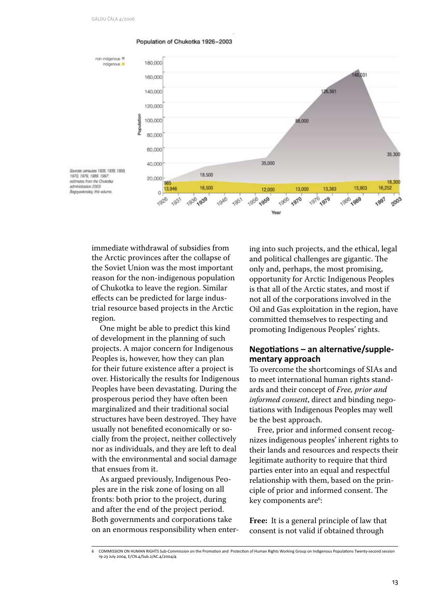



immediate withdrawal of subsidies from the Arctic provinces after the collapse of the Soviet Union was the most important reason for the non-indigenous population of Chukotka to leave the region. Similar effects can be predicted for large industrial resource based projects in the Arctic region.

One might be able to predict this kind of development in the planning of such projects. A major concern for Indigenous Peoples is, however, how they can plan for their future existence after a project is over. Historically the results for Indigenous Peoples have been devastating. During the prosperous period they have often been marginalized and their traditional social structures have been destroyed. They have usually not benefited economically or socially from the project, neither collectively nor as individuals, and they are left to deal with the environmental and social damage that ensues from it.

As argued previously, Indigenous Peoples are in the risk zone of losing on all fronts: both prior to the project, during and after the end of the project period. Both governments and corporations take on an enormous responsibility when entering into such projects, and the ethical, legal and political challenges are gigantic. The only and, perhaps, the most promising, opportunity for Arctic Indigenous Peoples is that all of the Arctic states, and most if not all of the corporations involved in the Oil and Gas exploitation in the region, have committed themselves to respecting and promoting Indigenous Peoples' rights.

#### **Negotiations – an alternative/supplementary approach**

To overcome the shortcomings of SIAs and to meet international human rights standards and their concept of *Free, prior and informed consent*, direct and binding negotiations with Indigenous Peoples may well be the best approach.

Free, prior and informed consent recognizes indigenous peoples' inherent rights to their lands and resources and respects their legitimate authority to require that third parties enter into an equal and respectful relationship with them, based on the principle of prior and informed consent. The key components are<sup>6</sup>:

**Free:** It is a general principle of law that consent is not valid if obtained through

<sup>6</sup> COMMISSION ON HUMAN RIGHTS Sub-Commission on the Promotion and Protection of Human Rights Working Group on Indigenous Populations Twenty-second session 19-23 July 2004, E/CN.4/Sub.2/AC.4/2004/4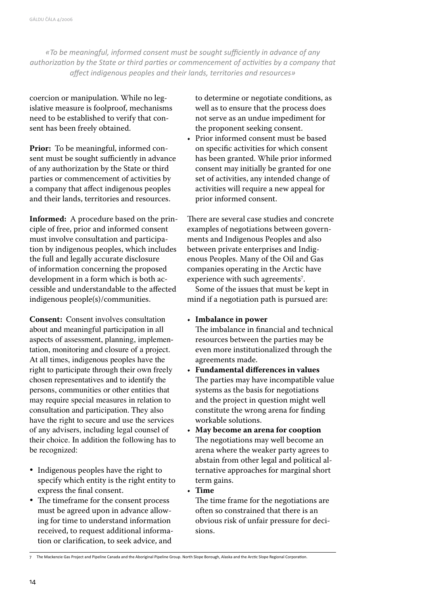*«To be meaningful, informed consent must be sought sufficiently in advance of any authorization by the State or third parties or commencement of activities by a company that affect indigenous peoples and their lands, territories and resources»*

coercion or manipulation. While no legislative measure is foolproof, mechanisms need to be established to verify that consent has been freely obtained.

Prior: To be meaningful, informed consent must be sought sufficiently in advance of any authorization by the State or third parties or commencement of activities by a company that affect indigenous peoples and their lands, territories and resources.

**Informed:** A procedure based on the principle of free, prior and informed consent must involve consultation and participation by indigenous peoples, which includes the full and legally accurate disclosure of information concerning the proposed development in a form which is both accessible and understandable to the affected indigenous people(s)/communities.

**Consent:** Consent involves consultation about and meaningful participation in all aspects of assessment, planning, implementation, monitoring and closure of a project. At all times, indigenous peoples have the right to participate through their own freely chosen representatives and to identify the persons, communities or other entities that may require special measures in relation to consultation and participation. They also have the right to secure and use the services of any advisers, including legal counsel of their choice. In addition the following has to be recognized:

- Indigenous peoples have the right to specify which entity is the right entity to express the final consent.
- The timeframe for the consent process must be agreed upon in advance allowing for time to understand information received, to request additional information or clarification, to seek advice, and

to determine or negotiate conditions, as well as to ensure that the process does not serve as an undue impediment for the proponent seeking consent.

• Prior informed consent must be based on specific activities for which consent has been granted. While prior informed consent may initially be granted for one set of activities, any intended change of activities will require a new appeal for prior informed consent.

There are several case studies and concrete examples of negotiations between governments and Indigenous Peoples and also between private enterprises and Indigenous Peoples. Many of the Oil and Gas companies operating in the Arctic have experience with such agreements<sup>7</sup>.

Some of the issues that must be kept in mind if a negotiation path is pursued are:

• **Imbalance in power**

The imbalance in financial and technical resources between the parties may be even more institutionalized through the agreements made.

- **Fundamental differences in values** The parties may have incompatible value systems as the basis for negotiations and the project in question might well constitute the wrong arena for finding workable solutions.
- **May become an arena for cooption** The negotiations may well become an arena where the weaker party agrees to abstain from other legal and political alternative approaches for marginal short term gains.
- **Time**

The time frame for the negotiations are often so constrained that there is an obvious risk of unfair pressure for decisions.

<sup>7</sup> The Mackenzie Gas Project and Pipeline Canada and the Aboriginal Pipeline Group. North Slope Borough, Alaska and the Arctic Slope Regional Corporation.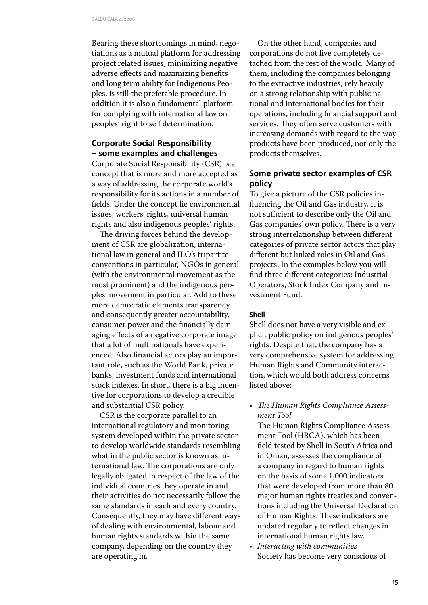Bearing these shortcomings in mind, negotiations as a mutual platform for addressing project related issues, minimizing negative adverse effects and maximizing benefits and long term ability for Indigenous Peoples, is still the preferable procedure. In addition it is also a fundamental platform for complying with international law on peoples' right to self determination.

#### **Corporate Social Responsibility – some examples and challenges**

Corporate Social Responsibility (CSR) is a concept that is more and more accepted as a way of addressing the corporate world's responsibility for its actions in a number of fields. Under the concept lie environmental issues, workers' rights, universal human rights and also indigenous peoples' rights.

The driving forces behind the development of CSR are globalization, international law in general and ILO's tripartite conventions in particular, NGOs in general (with the environmental movement as the most prominent) and the indigenous peoples' movement in particular. Add to these more democratic elements transparency and consequently greater accountability, consumer power and the financially damaging effects of a negative corporate image that a lot of multinationals have experienced. Also financial actors play an important role, such as the World Bank, private banks, investment funds and international stock indexes. In short, there is a big incentive for corporations to develop a credible and substantial CSR policy.

CSR is the corporate parallel to an international regulatory and monitoring system developed within the private sector to develop worldwide standards resembling what in the public sector is known as international law. The corporations are only legally obligated in respect of the law of the individual countries they operate in and their activities do not necessarily follow the same standards in each and every country. Consequently, they may have different ways of dealing with environmental, labour and human rights standards within the same company, depending on the country they are operating in.

On the other hand, companies and corporations do not live completely detached from the rest of the world. Many of them, including the companies belonging to the extractive industries, rely heavily on a strong relationship with public national and international bodies for their operations, including financial support and services. They often serve customers with increasing demands with regard to the way products have been produced, not only the products themselves.

### **Some private sector examples of CSR policy**

To give a picture of the CSR policies influencing the Oil and Gas industry, it is not sufficient to describe only the Oil and Gas companies' own policy. There is a very strong interrelationship between different categories of private sector actors that play different but linked roles in Oil and Gas projects. In the examples below you will find three different categories: Industrial Operators, Stock Index Company and Investment Fund.

#### **Shell**

Shell does not have a very visible and explicit public policy on indigenous peoples' rights. Despite that, the company has a very comprehensive system for addressing Human Rights and Community interaction, which would both address concerns listed above:

*• The Human Rights Compliance Assessment Tool*

The Human Rights Compliance Assessment Tool (HRCA), which has been field tested by Shell in South Africa and in Oman, assesses the compliance of a company in regard to human rights on the basis of some 1,000 indicators that were developed from more than 80 major human rights treaties and conventions including the Universal Declaration of Human Rights. These indicators are updated regularly to reflect changes in international human rights law.

*• Interacting with communities* Society has become very conscious of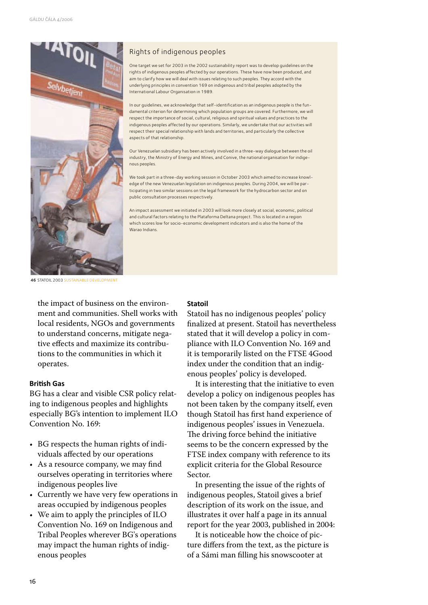

#### Rights of indigenous peoples

One target we set for 2003 in the 2002 sustainability report was to develop guidelines on the rights of indigenous peoples affected by our operations. These have now been produced, and aim to clarify how we will deal with issues relating to such peoples. They accord with the underlying principles in convention 169 on indigenous and tribal peoples adopted by the International Labour Organisation in 1989.

In our guidelines, we acknowledge that self-identification as an indigenous people is the fundamental criterion for determining which population groups are covered. Furthermore, we will respect the importance of social, cultural, religious and spiritual values and practices to the indigenous peoples affected by our operations. Similarly, we undertake that our activities will respect their special relationship with lands and territories, and particularly the collective aspects of that relationship.

Our Venezuelan subsidiary has been actively involved in a three-way dialogue between the oil industry, the Ministry of Energy and Mines, and Conive, the national organisation for indigenous peoples.

We took part in a three-day working session in October 2003 which aimed to increase knowledge of the new Venezuelan legislation on indigenous peoples. During 2004, we will be participating in two similar sessions on the legal framework for the hydrocarbon sector and on public consultation processes respectively.

An impact assessment we initiated in 2003 will look more closely at social, economic, political and cultural factors relating to the Plataforma Deltana project. This is located in a region which scores low for socio-economic development indicators and is also the home of the Warao Indians.

46 STATOIL 2003 SUSTAINABLE DEVELOPMENT

the impact of business on the environment and communities. Shell works with local residents, NGOs and governments to understand concerns, mitigate negative effects and maximize its contributions to the communities in which it operates.

#### **British Gas**

BG has a clear and visible CSR policy relating to indigenous peoples and highlights especially BG's intention to implement ILO Convention No. 169:

- BG respects the human rights of individuals affected by our operations
- As a resource company, we may find ourselves operating in territories where indigenous peoples live
- Currently we have very few operations in areas occupied by indigenous peoples
- We aim to apply the principles of ILO Convention No. 169 on Indigenous and Tribal Peoples wherever BG's operations may impact the human rights of indigenous peoples

#### **Statoil**

Statoil has no indigenous peoples' policy finalized at present. Statoil has nevertheless stated that it will develop a policy in compliance with ILO Convention No. 169 and it is temporarily listed on the FTSE 4Good index under the condition that an indigenous peoples' policy is developed.

It is interesting that the initiative to even develop a policy on indigenous peoples has not been taken by the company itself, even though Statoil has first hand experience of indigenous peoples' issues in Venezuela. The driving force behind the initiative seems to be the concern expressed by the FTSE index company with reference to its explicit criteria for the Global Resource Sector.

In presenting the issue of the rights of indigenous peoples, Statoil gives a brief description of its work on the issue, and illustrates it over half a page in its annual report for the year 2003, published in 2004:

It is noticeable how the choice of picture differs from the text, as the picture is of a Sámi man filling his snowscooter at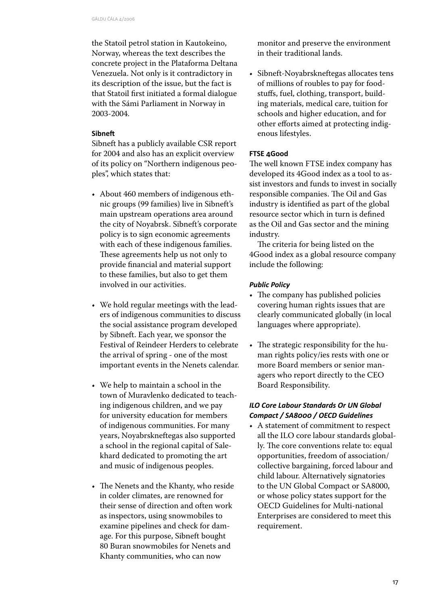the Statoil petrol station in Kautokeino, Norway, whereas the text describes the concrete project in the Plataforma Deltana Venezuela. Not only is it contradictory in its description of the issue, but the fact is that Statoil first initiated a formal dialogue with the Sámi Parliament in Norway in 2003-2004.

#### **Sibneft**

Sibneft has a publicly available CSR report for 2004 and also has an explicit overview of its policy on "Northern indigenous peoples", which states that:

- About 460 members of indigenous ethnic groups (99 families) live in Sibneft's main upstream operations area around the city of Noyabrsk. Sibneft's corporate policy is to sign economic agreements with each of these indigenous families. These agreements help us not only to provide financial and material support to these families, but also to get them involved in our activities.
- We hold regular meetings with the leaders of indigenous communities to discuss the social assistance program developed by Sibneft. Each year, we sponsor the Festival of Reindeer Herders to celebrate the arrival of spring - one of the most important events in the Nenets calendar.
- We help to maintain a school in the town of Muravlenko dedicated to teaching indigenous children, and we pay for university education for members of indigenous communities. For many years, Noyabrskneftegas also supported a school in the regional capital of Salekhard dedicated to promoting the art and music of indigenous peoples.
- The Nenets and the Khanty, who reside in colder climates, are renowned for their sense of direction and often work as inspectors, using snowmobiles to examine pipelines and check for damage. For this purpose, Sibneft bought 80 Buran snowmobiles for Nenets and Khanty communities, who can now

monitor and preserve the environment in their traditional lands.

• Sibneft-Noyabrskneftegas allocates tens of millions of roubles to pay for foodstuffs, fuel, clothing, transport, building materials, medical care, tuition for schools and higher education, and for other efforts aimed at protecting indigenous lifestyles.

#### **FTSE 4Good**

The well known FTSE index company has developed its 4Good index as a tool to assist investors and funds to invest in socially responsible companies. The Oil and Gas industry is identified as part of the global resource sector which in turn is defined as the Oil and Gas sector and the mining industry.

The criteria for being listed on the 4Good index as a global resource company include the following:

#### *Public Policy*

- The company has published policies covering human rights issues that are clearly communicated globally (in local languages where appropriate).
- The strategic responsibility for the human rights policy/ies rests with one or more Board members or senior managers who report directly to the CEO Board Responsibility.

#### *ILO Core Labour Standards Or UN Global Compact / SA8000 / OECD Guidelines*

• A statement of commitment to respect all the ILO core labour standards globally. The core conventions relate to: equal opportunities, freedom of association/ collective bargaining, forced labour and child labour. Alternatively signatories to the UN Global Compact or SA8000, or whose policy states support for the OECD Guidelines for Multi-national Enterprises are considered to meet this requirement.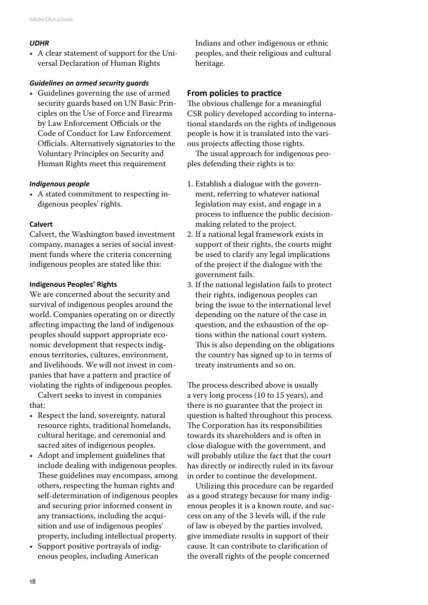#### *UDHR*

• A clear statement of support for the Universal Declaration of Human Rights

#### *Guidelines on armed security guards*

• Guidelines governing the use of armed security guards based on UN Basic Principles on the Use of Force and Firearms by Law Enforcement Officials or the Code of Conduct for Law Enforcement Officials. Alternatively signatories to the Voluntary Principles on Security and Human Rights meet this requirement

#### *Indigenous people*

• A stated commitment to respecting indigenous peoples' rights.

#### **Calvert**

Calvert, the Washington based investment company, manages a series of social investment funds where the criteria concerning indigenous peoples are stated like this:

#### **Indigenous Peoples' Rights**

We are concerned about the security and survival of indigenous peoples around the world. Companies operating on or directly affecting impacting the land of indigenous peoples should support appropriate economic development that respects indigenous territories, cultures, environment, and livelihoods. We will not invest in companies that have a pattern and practice of violating the rights of indigenous peoples.

Calvert seeks to invest in companies that:

- Respect the land, sovereignty, natural resource rights, traditional homelands, cultural heritage, and ceremonial and sacred sites of indigenous peoples.
- Adopt and implement guidelines that include dealing with indigenous peoples. These guidelines may encompass, among others, respecting the human rights and self-determination of indigenous peoples and securing prior informed consent in any transactions, including the acquisition and use of indigenous peoples' property, including intellectual property.
- Support positive portrayals of indigenous peoples, including American

Indians and other indigenous or ethnic peoples, and their religious and cultural heritage.

#### **From policies to practice**

The obvious challenge for a meaningful CSR policy developed according to international standards on the rights of indigenous people is how it is translated into the various projects affecting those rights.

The usual approach for indigenous peoples defending their rights is to:

- 1. Establish a dialogue with the government, referring to whatever national legislation may exist, and engage in a process to influence the public decisionmaking related to the project.
- 2. If a national legal framework exists in support of their rights, the courts might be used to clarify any legal implications of the project if the dialogue with the government fails.
- 3. If the national legislation fails to protect their rights, indigenous peoples can bring the issue to the international level depending on the nature of the case in question, and the exhaustion of the options within the national court system. This is also depending on the obligations the country has signed up to in terms of treaty instruments and so on.

The process described above is usually a very long process (10 to 15 years), and there is no guarantee that the project in question is halted throughout this process. The Corporation has its responsibilities towards its shareholders and is often in close dialogue with the government, and will probably utilize the fact that the court has directly or indirectly ruled in its favour in order to continue the development.

Utilizing this procedure can be regarded as a good strategy because for many indigenous peoples it is a known route, and success on any of the 3 levels will, if the rule of law is obeyed by the parties involved, give immediate results in support of their cause. It can contribute to clarification of the overall rights of the people concerned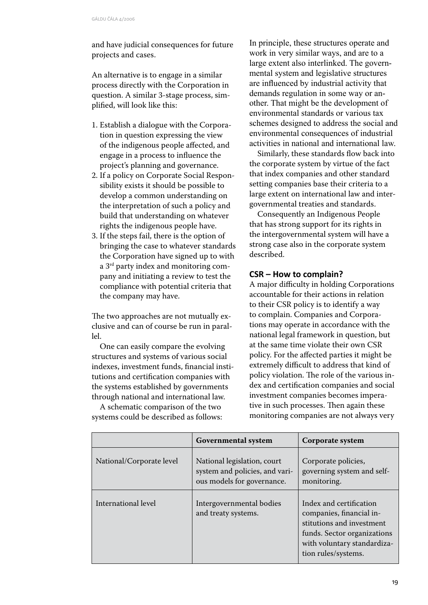and have judicial consequences for future projects and cases.

An alternative is to engage in a similar process directly with the Corporation in question. A similar 3-stage process, simplified, will look like this:

- 1. Establish a dialogue with the Corporation in question expressing the view of the indigenous people affected, and engage in a process to influence the project's planning and governance.
- 2. If a policy on Corporate Social Responsibility exists it should be possible to develop a common understanding on the interpretation of such a policy and build that understanding on whatever rights the indigenous people have.
- 3. If the steps fail, there is the option of bringing the case to whatever standards the Corporation have signed up to with a 3rd party index and monitoring company and initiating a review to test the compliance with potential criteria that the company may have.

The two approaches are not mutually exclusive and can of course be run in parallel.

One can easily compare the evolving structures and systems of various social indexes, investment funds, financial institutions and certification companies with the systems established by governments through national and international law.

A schematic comparison of the two systems could be described as follows: In principle, these structures operate and work in very similar ways, and are to a large extent also interlinked. The governmental system and legislative structures are influenced by industrial activity that demands regulation in some way or another. That might be the development of environmental standards or various tax schemes designed to address the social and environmental consequences of industrial activities in national and international law.

Similarly, these standards flow back into the corporate system by virtue of the fact that index companies and other standard setting companies base their criteria to a large extent on international law and intergovernmental treaties and standards.

Consequently an Indigenous People that has strong support for its rights in the intergovernmental system will have a strong case also in the corporate system described.

### **CSR – How to complain?**

A major difficulty in holding Corporations accountable for their actions in relation to their CSR policy is to identify a way to complain. Companies and Corporations may operate in accordance with the national legal framework in question, but at the same time violate their own CSR policy. For the affected parties it might be extremely difficult to address that kind of policy violation. The role of the various index and certification companies and social investment companies becomes imperative in such processes. Then again these monitoring companies are not always very

|                          | <b>Governmental system</b>                                                                  | <b>Corporate system</b>                                                                                                                                               |
|--------------------------|---------------------------------------------------------------------------------------------|-----------------------------------------------------------------------------------------------------------------------------------------------------------------------|
| National/Corporate level | National legislation, court<br>system and policies, and vari-<br>ous models for governance. | Corporate policies,<br>governing system and self-<br>monitoring.                                                                                                      |
| International level      | Intergovernmental bodies<br>and treaty systems.                                             | Index and certification<br>companies, financial in-<br>stitutions and investment<br>funds. Sector organizations<br>with voluntary standardiza-<br>tion rules/systems. |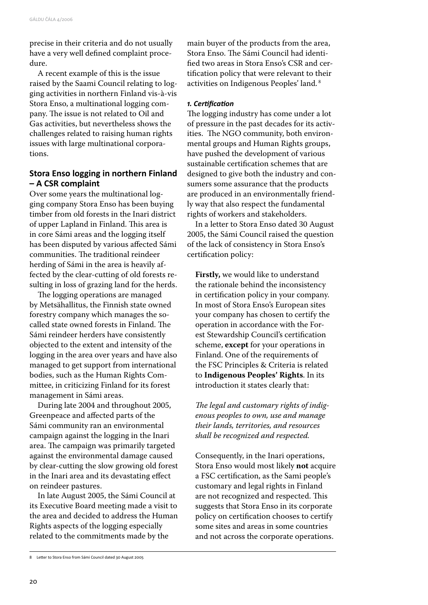precise in their criteria and do not usually have a very well defined complaint procedure.

A recent example of this is the issue raised by the Saami Council relating to logging activities in northern Finland vis-à-vis Stora Enso, a multinational logging company. The issue is not related to Oil and Gas activities, but nevertheless shows the challenges related to raising human rights issues with large multinational corporations.

#### **Stora Enso logging in northern Finland – A CSR complaint**

Over some years the multinational logging company Stora Enso has been buying timber from old forests in the Inari district of upper Lapland in Finland. This area is in core Sámi areas and the logging itself has been disputed by various affected Sámi communities. The traditional reindeer herding of Sámi in the area is heavily affected by the clear-cutting of old forests resulting in loss of grazing land for the herds.

The logging operations are managed by Metsähallitus, the Finnish state owned forestry company which manages the socalled state owned forests in Finland. The Sámi reindeer herders have consistently objected to the extent and intensity of the logging in the area over years and have also managed to get support from international bodies, such as the Human Rights Committee, in criticizing Finland for its forest management in Sámi areas.

During late 2004 and throughout 2005, Greenpeace and affected parts of the Sámi community ran an environmental campaign against the logging in the Inari area. The campaign was primarily targeted against the environmental damage caused by clear-cutting the slow growing old forest in the Inari area and its devastating effect on reindeer pastures.

In late August 2005, the Sámi Council at its Executive Board meeting made a visit to the area and decided to address the Human Rights aspects of the logging especially related to the commitments made by the

main buyer of the products from the area, Stora Enso. The Sámi Council had identified two areas in Stora Enso's CSR and certification policy that were relevant to their activities on Indigenous Peoples' land.

#### *1. Certification*

The logging industry has come under a lot of pressure in the past decades for its activities. The NGO community, both environmental groups and Human Rights groups, have pushed the development of various sustainable certification schemes that are designed to give both the industry and consumers some assurance that the products are produced in an environmentally friendly way that also respect the fundamental rights of workers and stakeholders.

In a letter to Stora Enso dated 30 August 2005, the Sámi Council raised the question of the lack of consistency in Stora Enso's certification policy:

**Firstly, we would like to understand** the rationale behind the inconsistency in certification policy in your company. In most of Stora Enso's European sites your company has chosen to certify the operation in accordance with the Forest Stewardship Council's certification scheme, **except** for your operations in Finland. One of the requirements of the FSC Principles & Criteria is related to **Indigenous Peoples' Rights**. In its introduction it states clearly that:

*The legal and customary rights of indigenous peoples to own, use and manage their lands, territories, and resources shall be recognized and respected.*

Consequently, in the Inari operations, Stora Enso would most likely **not** acquire a FSC certification, as the Sami people's customary and legal rights in Finland are not recognized and respected. This suggests that Stora Enso in its corporate policy on certification chooses to certify some sites and areas in some countries and not across the corporate operations.

<sup>8</sup> Letter to Stora Enso from Sámi Council dated 30 August 2005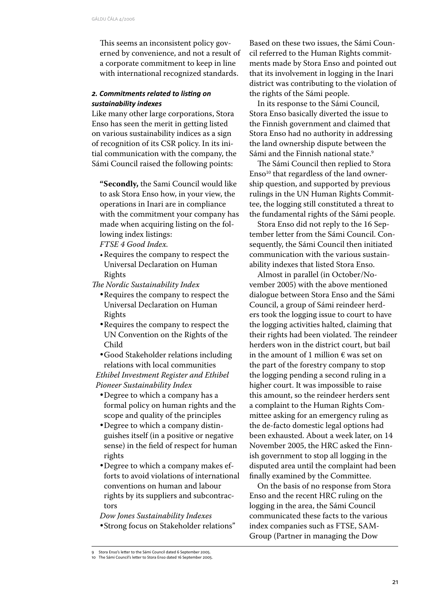This seems an inconsistent policy governed by convenience, and not a result of a corporate commitment to keep in line with international recognized standards.

#### *2. Commitments related to listing on sustainability indexes*

Like many other large corporations, Stora Enso has seen the merit in getting listed on various sustainability indices as a sign of recognition of its CSR policy. In its initial communication with the company, the Sámi Council raised the following points:

 **"Secondly,** the Sami Council would like to ask Stora Enso how, in your view, the operations in Inari are in compliance with the commitment your company has made when acquiring listing on the following index listings:

*FTSE 4 Good Index.*

•Requires the company to respect the Universal Declaration on Human Rights

*The Nordic Sustainability Index*

- • Requires the company to respect the Universal Declaration on Human Rights
- • Requires the company to respect the UN Convention on the Rights of the Child
- • Good Stakeholder relations including relations with local communities

*Ethibel Investment Register and Ethibel Pioneer Sustainability Index*

- Degree to which a company has a formal policy on human rights and the scope and quality of the principles
- Degree to which a company distinguishes itself (in a positive or negative sense) in the field of respect for human rights
- • Degree to which a company makes efforts to avoid violations of international conventions on human and labour rights by its suppliers and subcontractors

*Dow Jones Sustainability Indexes* • Strong focus on Stakeholder relations" Based on these two issues, the Sámi Council referred to the Human Rights commitments made by Stora Enso and pointed out that its involvement in logging in the Inari district was contributing to the violation of the rights of the Sámi people.

In its response to the Sámi Council, Stora Enso basically diverted the issue to the Finnish government and claimed that Stora Enso had no authority in addressing the land ownership dispute between the Sámi and the Finnish national state.

The Sámi Council then replied to Stora  $\mathsf{Enso}^{\mathsf{10}}$  that regardless of the land ownership question, and supported by previous rulings in the UN Human Rights Committee, the logging still constituted a threat to the fundamental rights of the Sámi people.

Stora Enso did not reply to the 16 September letter from the Sámi Council. Consequently, the Sámi Council then initiated communication with the various sustainability indexes that listed Stora Enso.

Almost in parallel (in October/November 2005) with the above mentioned dialogue between Stora Enso and the Sámi Council, a group of Sámi reindeer herders took the logging issue to court to have the logging activities halted, claiming that their rights had been violated. The reindeer herders won in the district court, but bail in the amount of 1 million  $\epsilon$  was set on the part of the forestry company to stop the logging pending a second ruling in a higher court. It was impossible to raise this amount, so the reindeer herders sent a complaint to the Human Rights Committee asking for an emergency ruling as the de-facto domestic legal options had been exhausted. About a week later, on 14 November 2005, the HRC asked the Finnish government to stop all logging in the disputed area until the complaint had been finally examined by the Committee.

On the basis of no response from Stora Enso and the recent HRC ruling on the logging in the area, the Sámi Council communicated these facts to the various index companies such as FTSE, SAM-Group (Partner in managing the Dow

<sup>9</sup> Stora Enso's letter to the Sámi Council dated 6 September 2005.

<sup>10</sup> The Sámi Council's letter to Stora Enso dated 16 September 2005.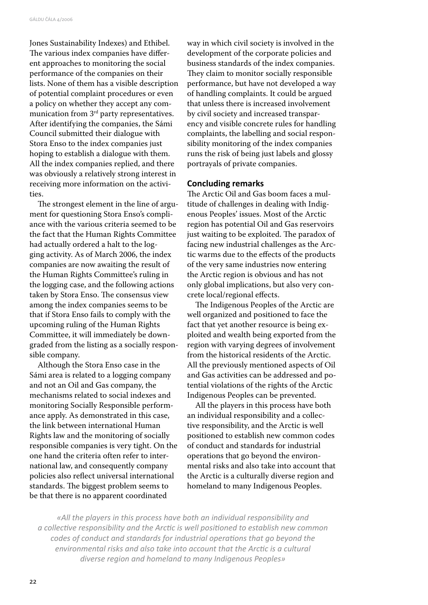Jones Sustainability Indexes) and Ethibel. The various index companies have different approaches to monitoring the social performance of the companies on their lists. None of them has a visible description of potential complaint procedures or even a policy on whether they accept any communication from 3rd party representatives. After identifying the companies, the Sámi Council submitted their dialogue with Stora Enso to the index companies just hoping to establish a dialogue with them. All the index companies replied, and there was obviously a relatively strong interest in receiving more information on the activities.

The strongest element in the line of argument for questioning Stora Enso's compliance with the various criteria seemed to be the fact that the Human Rights Committee had actually ordered a halt to the logging activity. As of March 2006, the index companies are now awaiting the result of the Human Rights Committee's ruling in the logging case, and the following actions taken by Stora Enso. The consensus view among the index companies seems to be that if Stora Enso fails to comply with the upcoming ruling of the Human Rights Committee, it will immediately be downgraded from the listing as a socially responsible company.

Although the Stora Enso case in the Sámi area is related to a logging company and not an Oil and Gas company, the mechanisms related to social indexes and monitoring Socially Responsible performance apply. As demonstrated in this case, the link between international Human Rights law and the monitoring of socially responsible companies is very tight. On the one hand the criteria often refer to international law, and consequently company policies also reflect universal international standards. The biggest problem seems to be that there is no apparent coordinated

way in which civil society is involved in the development of the corporate policies and business standards of the index companies. They claim to monitor socially responsible performance, but have not developed a way of handling complaints. It could be argued that unless there is increased involvement by civil society and increased transparency and visible concrete rules for handling complaints, the labelling and social responsibility monitoring of the index companies runs the risk of being just labels and glossy portrayals of private companies.

#### **Concluding remarks**

The Arctic Oil and Gas boom faces a multitude of challenges in dealing with Indigenous Peoples' issues. Most of the Arctic region has potential Oil and Gas reservoirs just waiting to be exploited. The paradox of facing new industrial challenges as the Arctic warms due to the effects of the products of the very same industries now entering the Arctic region is obvious and has not only global implications, but also very concrete local/regional effects.

The Indigenous Peoples of the Arctic are well organized and positioned to face the fact that yet another resource is being exploited and wealth being exported from the region with varying degrees of involvement from the historical residents of the Arctic. All the previously mentioned aspects of Oil and Gas activities can be addressed and potential violations of the rights of the Arctic Indigenous Peoples can be prevented.

All the players in this process have both an individual responsibility and a collective responsibility, and the Arctic is well positioned to establish new common codes of conduct and standards for industrial operations that go beyond the environmental risks and also take into account that the Arctic is a culturally diverse region and homeland to many Indigenous Peoples.

*«All the players in this process have both an individual responsibility and a collective responsibility and the Arctic is well positioned to establish new common codes of conduct and standards for industrial operations that go beyond the environmental risks and also take into account that the Arctic is a cultural diverse region and homeland to many Indigenous Peoples»*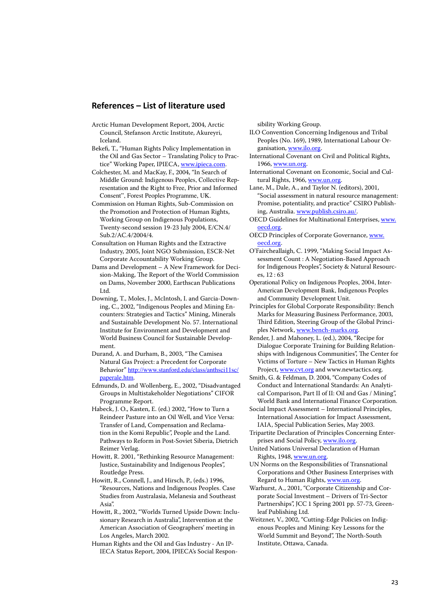#### **References – List of literature used**

- Arctic Human Development Report, 2004, Arctic Council, Stefanson Arctic Institute, Akureyri, Iceland.
- Bekefi, T., "Human Rights Policy Implementation in the Oil and Gas Sector – Translating Policy to Practice" Working Paper, IPIECA, www.ipieca.com.
- Colchester, M. and MacKay, F., 2004, "In Search of Middle Ground: Indigenous Peoples, Collective Representation and the Right to Free, Prior and Informed Consent", Forest Peoples Programme, UK.
- Commission on Human Rights, Sub-Commission on the Promotion and Protection of Human Rights, Working Group on Indigenous Populations, Twenty-second session 19-23 July 2004, E/CN.4/ Sub.2/AC.4/2004/4.
- Consultation on Human Rights and the Extractive Industry, 2005, Joint NGO Submission, ESCR-Net Corporate Accountability Working Group.
- Dams and Development A New Framework for Decision-Making, The Report of the World Commission on Dams, November 2000, Earthscan Publications Ltd.
- Downing, T., Moles, J., McIntosh, I. and Garcia-Downing, C., 2002, "Indigenous Peoples and Mining Encounters: Strategies and Tactics" Mining, Minerals and Sustainable Development No. 57. International Institute for Environment and Development and World Business Council for Sustainable Development.
- Durand, A. and Durham, B., 2003, "The Camisea Natural Gas Project: a Precedent for Corporate Behavior" http://www.stanford.edu/class/anthsci11sc/ paperale.htm.
- Edmunds, D. and Wollenberg, E., 2002, "Disadvantaged Groups in Multistakeholder Negotiations" CIFOR Programme Report.
- Habeck, J. O., Kasten, E. (ed.) 2002, "How to Turn a Reindeer Pasture into an Oil Well, and Vice Versa: Transfer of Land, Compensation and Reclamation in the Komi Republic", People and the Land. Pathways to Reform in Post-Soviet Siberia, Dietrich Reimer Verlag.
- Howitt, R. 2001, "Rethinking Resource Management: Justice, Sustainability and Indigenous Peoples", Routledge Press.
- Howitt, R., Connell, J., and Hirsch, P., (eds.) 1996, "Resources, Nations and Indigenous Peoples. Case Studies from Australasia, Melanesia and Southeast Asia".
- Howitt, R., 2002, "Worlds Turned Upside Down: Inclusionary Research in Australia", Intervention at the American Association of Geographers' meeting in Los Angeles, March 2002.
- Human Rights and the Oil and Gas Industry An IP-IECA Status Report, 2004, IPIECA's Social Respon-

sibility Working Group.

- ILO Convention Concerning Indigenous and Tribal Peoples (No. 169), 1989, International Labour Organisation, www.ilo.org.
- International Covenant on Civil and Political Rights, 1966, www.un.org.
- International Covenant on Economic, Social and Cultural Rights, 1966, www.un.org.
- Lane, M., Dale, A., and Taylor N. (editors), 2001, "Social assessment in natural resource management: Promise, potentiality, and practice" CSIRO Publishing, Australia. www.publish.csiro.au/.
- OECD Guidelines for Multinational Enterprises, www. oecd.org.
- OECD Principles of Corporate Governance, www. oecd.org.
- O'Faircheallaigh, C. 1999, "Making Social Impact Assessment Count : A Negotiation-Based Approach for Indigenous Peoples", Society & Natural Resources, 12 : 63
- Operational Policy on Indigenous Peoples, 2004, Inter-American Development Bank, Indigenous Peoples and Community Development Unit.
- Principles for Global Corporate Responsibility: Bench Marks for Measuring Business Performance, 2003, Third Edition, Steering Group of the Global Principles Network, www.bench-marks.org.
- Render, J. and Mahoney, L. (ed.), 2004, "Recipe for Dialogue Corporate Training for Building Relationships with Indigenous Communities", The Center for Victims of Torture – New Tactics in Human Rights Project, www.cvt.org and www.newtactics.org.
- Smith, G. & Feldman, D. 2004, "Company Codes of Conduct and International Standards: An Analytical Comparison, Part II of II: Oil and Gas / Mining", World Bank and International Finance Corporation.
- Social Impact Assessment International Principles, International Association for Impact Assessment, IAIA, Special Publication Series, May 2003.
- Tripartite Declaration of Principles Concerning Enterprises and Social Policy, www.ilo.org.
- United Nations Universal Declaration of Human Rights, 1948, www.un.org.
- UN Norms on the Responsibilities of Transnational Corporations and Other Business Enterprises with Regard to Human Rights, www.un.org.
- Warhurst, A., 2001, "Corporate Citizenship and Corporate Social Investment – Drivers of Tri-Sector Partnerships", JCC 1 Spring 2001 pp. 57-73, Greenleaf Publishing Ltd.
- Weitzner, V., 2002, "Cutting-Edge Policies on Indigenous Peoples and Mining: Key Lessons for the World Summit and Beyond", The North-South Institute, Ottawa, Canada.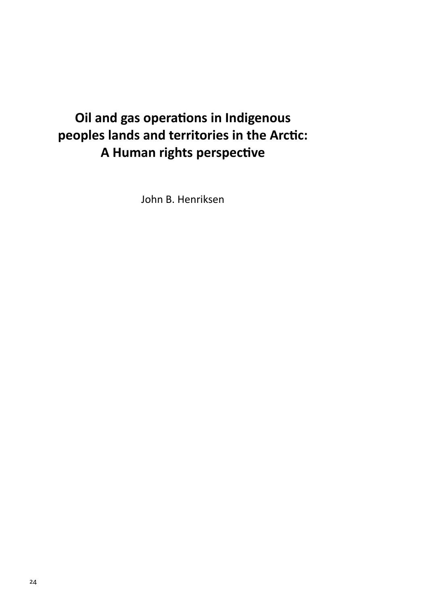# **Oil and gas operations in Indigenous peoples lands and territories in the Arctic: A Human rights perspective**

John B. Henriksen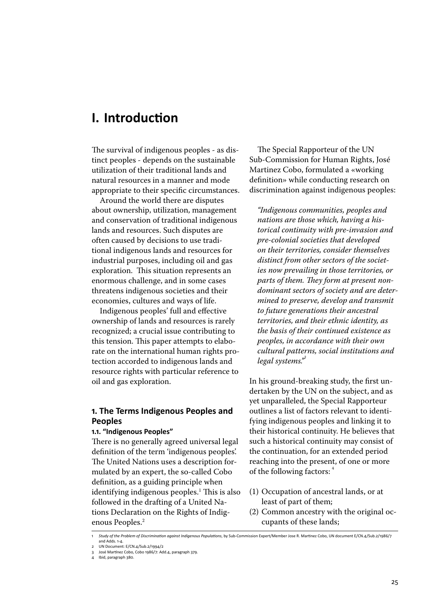# **I. Introduction**

The survival of indigenous peoples - as distinct peoples - depends on the sustainable utilization of their traditional lands and natural resources in a manner and mode appropriate to their specific circumstances.

Around the world there are disputes about ownership, utilization, management and conservation of traditional indigenous lands and resources. Such disputes are often caused by decisions to use traditional indigenous lands and resources for industrial purposes, including oil and gas exploration. This situation represents an enormous challenge, and in some cases threatens indigenous societies and their economies, cultures and ways of life.

Indigenous peoples' full and effective ownership of lands and resources is rarely recognized; a crucial issue contributing to this tension. This paper attempts to elaborate on the international human rights protection accorded to indigenous lands and resource rights with particular reference to oil and gas exploration.

#### **1. The Terms Indigenous Peoples and Peoples**

#### **1.1. "Indigenous Peoples"**

There is no generally agreed universal legal definition of the term 'indigenous peoples'. The United Nations uses a description formulated by an expert, the so-called Cobo definition, as a guiding principle when identifying indigenous peoples.1 This is also followed in the drafting of a United Nations Declaration on the Rights of Indigenous Peoples.2

The Special Rapporteur of the UN Sub-Commission for Human Rights, José Martinez Cobo, formulated a «working definition» while conducting research on discrimination against indigenous peoples:

*"Indigenous communities, peoples and nations are those which, having a historical continuity with pre-invasion and pre-colonial societies that developed on their territories, consider themselves distinct from other sectors of the societies now prevailing in those territories, or parts of them. They form at present nondominant sectors of society and are determined to preserve, develop and transmit to future generations their ancestral territories, and their ethnic identity, as the basis of their continued existence as peoples, in accordance with their own cultural patterns, social institutions and legal systems."3*

In his ground-breaking study, the first undertaken by the UN on the subject, and as yet unparalleled, the Special Rapporteur outlines a list of factors relevant to identifying indigenous peoples and linking it to their historical continuity. He believes that such a historical continuity may consist of the continuation, for an extended period reaching into the present, of one or more of the following factors: <sup>4</sup>

- (1) Occupation of ancestral lands, or at least of part of them;
- (2) Common ancestry with the original occupants of these lands;

<sup>1</sup> *Study of the Problem of Discrimination against Indigenous Populations*, by Sub-Commission Expert/Member Jose R. Martinez Cobo, UN document E/CN.4/Sub.2/1986/7 and Adds. 1-4. 2 UN Document: E/CN.4/Sub.2/1994/2

<sup>3</sup> José Martínez Cobo, Cobo 1986/7: Add.4, paragraph 379.

<sup>4</sup> Ibid, paragraph 380.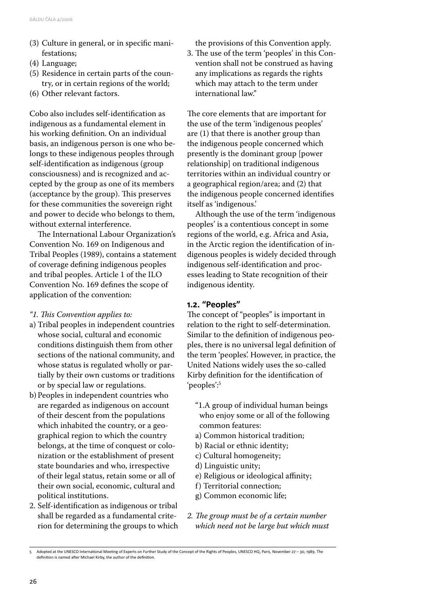- (3) Culture in general, or in specific manifestations;
- (4) Language;
- (5) Residence in certain parts of the country, or in certain regions of the world;
- (6) Other relevant factors.

Cobo also includes self-identification as indigenous as a fundamental element in his working definition. On an individual basis, an indigenous person is one who belongs to these indigenous peoples through self-identification as indigenous (group consciousness) and is recognized and accepted by the group as one of its members (acceptance by the group). This preserves for these communities the sovereign right and power to decide who belongs to them, without external interference.

The International Labour Organization's Convention No. 169 on Indigenous and Tribal Peoples (1989), contains a statement of coverage defining indigenous peoples and tribal peoples. Article 1 of the ILO Convention No. 169 defines the scope of application of the convention:

- *"1. This Convention applies to:*
- a) Tribal peoples in independent countries whose social, cultural and economic conditions distinguish them from other sections of the national community, and whose status is regulated wholly or partially by their own customs or traditions or by special law or regulations.
- b)Peoples in independent countries who are regarded as indigenous on account of their descent from the populations which inhabited the country, or a geographical region to which the country belongs, at the time of conquest or colonization or the establishment of present state boundaries and who, irrespective of their legal status, retain some or all of their own social, economic, cultural and political institutions.
- 2. Self-identification as indigenous or tribal shall be regarded as a fundamental criterion for determining the groups to which

the provisions of this Convention apply.

3. The use of the term 'peoples' in this Convention shall not be construed as having any implications as regards the rights which may attach to the term under international law."

The core elements that are important for the use of the term 'indigenous peoples' are (1) that there is another group than the indigenous people concerned which presently is the dominant group [power relationship] on traditional indigenous territories within an individual country or a geographical region/area; and (2) that the indigenous people concerned identifies itself as 'indigenous.'

Although the use of the term 'indigenous peoples' is a contentious concept in some regions of the world, e.g. Africa and Asia, in the Arctic region the identification of indigenous peoples is widely decided through indigenous self-identification and processes leading to State recognition of their indigenous identity.

#### **1.2. "Peoples"**

The concept of "peoples" is important in relation to the right to self-determination. Similar to the definition of indigenous peoples, there is no universal legal definition of the term 'peoples'. However, in practice, the United Nations widely uses the so-called Kirby definition for the identification of 'peoples':5

- "1.A group of individual human beings who enjoy some or all of the following common features:
- a) Common historical tradition;
- b) Racial or ethnic identity;
- c) Cultural homogeneity;
- d) Linguistic unity;
- e) Religious or ideological affinity;
- f) Territorial connection;
- g) Common economic life;
- *2. The group must be of a certain number which need not be large but which must*

Adopted at the UNESCO International Meeting of Experts on Further Study of the Concept of the Rights of Peoples, UNESCO HQ, Paris, November 27 – 30, 1989. The definition is named after Michael Kirby, the author of the definition.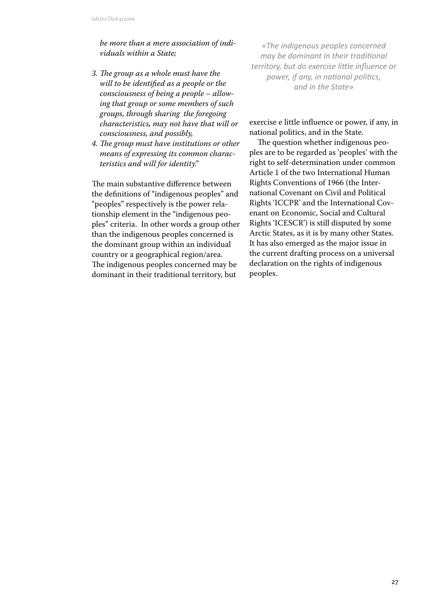*be more than a mere association of individuals within a State;*

- *3. The group as a whole must have the will to be identified as a people or the consciousness of being a people – allowing that group or some members of such groups, through sharing the foregoing characteristics, may not have that will or consciousness, and possibly,*
- *4. The group must have institutions or other means of expressing its common characteristics and will for identity."*

The main substantive difference between the definitions of "indigenous peoples" and "peoples" respectively is the power relationship element in the "indigenous peoples" criteria. In other words a group other than the indigenous peoples concerned is the dominant group within an individual country or a geographical region/area. The indigenous peoples concerned may be dominant in their traditional territory, but

*«The indigenous peoples concerned may be dominant in their traditional territory, but do exercise little influence or power, if any, in national politics, and in the State»*

exercise e little influence or power, if any, in national politics, and in the State.

The question whether indigenous peoples are to be regarded as 'peoples' with the right to self-determination under common Article 1 of the two International Human Rights Conventions of 1966 (the International Covenant on Civil and Political Rights 'ICCPR' and the International Covenant on Economic, Social and Cultural Rights 'ICESCR') is still disputed by some Arctic States, as it is by many other States. It has also emerged as the major issue in the current drafting process on a universal declaration on the rights of indigenous peoples.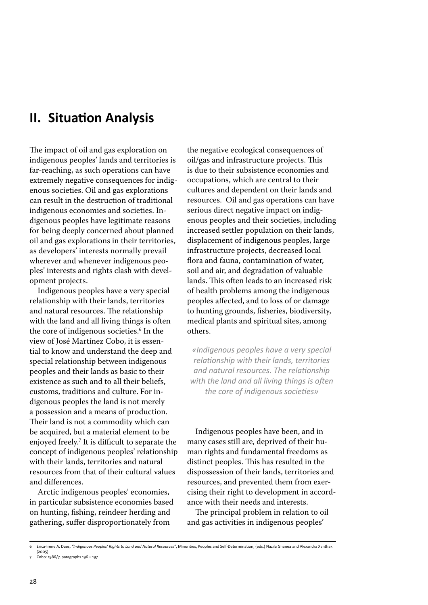# **II. Situation Analysis**

The impact of oil and gas exploration on indigenous peoples' lands and territories is far-reaching, as such operations can have extremely negative consequences for indigenous societies. Oil and gas explorations can result in the destruction of traditional indigenous economies and societies. Indigenous peoples have legitimate reasons for being deeply concerned about planned oil and gas explorations in their territories, as developers' interests normally prevail wherever and whenever indigenous peoples' interests and rights clash with development projects.

Indigenous peoples have a very special relationship with their lands, territories and natural resources. The relationship with the land and all living things is often the core of indigenous societies.6 In the view of José Martínez Cobo, it is essential to know and understand the deep and special relationship between indigenous peoples and their lands as basic to their existence as such and to all their beliefs, customs, traditions and culture. For indigenous peoples the land is not merely a possession and a means of production. Their land is not a commodity which can be acquired, but a material element to be enjoyed freely.7 It is difficult to separate the concept of indigenous peoples' relationship with their lands, territories and natural resources from that of their cultural values and differences.

Arctic indigenous peoples' economies, in particular subsistence economies based on hunting, fishing, reindeer herding and gathering, suffer disproportionately from

the negative ecological consequences of oil/gas and infrastructure projects. This is due to their subsistence economies and occupations, which are central to their cultures and dependent on their lands and resources. Oil and gas operations can have serious direct negative impact on indigenous peoples and their societies, including increased settler population on their lands, displacement of indigenous peoples, large infrastructure projects, decreased local flora and fauna, contamination of water, soil and air, and degradation of valuable lands. This often leads to an increased risk of health problems among the indigenous peoples affected, and to loss of or damage to hunting grounds, fisheries, biodiversity, medical plants and spiritual sites, among others.

*«Indigenous peoples have a very special relationship with their lands, territories and natural resources. The relationship with the land and all living things is often the core of indigenous societies»*

Indigenous peoples have been, and in many cases still are, deprived of their human rights and fundamental freedoms as distinct peoples. This has resulted in the dispossession of their lands, territories and resources, and prevented them from exercising their right to development in accordance with their needs and interests.

The principal problem in relation to oil and gas activities in indigenous peoples'

<sup>6</sup> Erica-Irene A. Daes, *"Indigenous Peoples' Rights to Land and Natural Resources"*, Minorities, Peoples and Self-Determination, (eds.) Nazila Ghanea and Alexandra Xanthaki (2005)

<sup>7</sup> Cobo: 1986/7, paragraphs 196 – 197.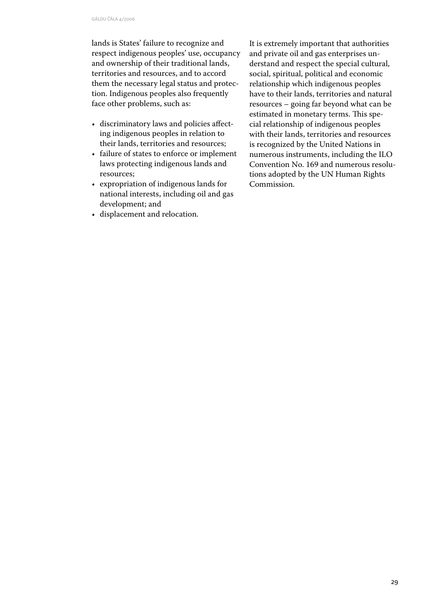lands is States' failure to recognize and respect indigenous peoples' use, occupancy and ownership of their traditional lands, territories and resources, and to accord them the necessary legal status and protection. Indigenous peoples also frequently face other problems, such as:

- discriminatory laws and policies affecting indigenous peoples in relation to their lands, territories and resources;
- failure of states to enforce or implement laws protecting indigenous lands and resources;
- expropriation of indigenous lands for national interests, including oil and gas development; and
- displacement and relocation.

It is extremely important that authorities and private oil and gas enterprises understand and respect the special cultural, social, spiritual, political and economic relationship which indigenous peoples have to their lands, territories and natural resources – going far beyond what can be estimated in monetary terms. This special relationship of indigenous peoples with their lands, territories and resources is recognized by the United Nations in numerous instruments, including the ILO Convention No. 169 and numerous resolutions adopted by the UN Human Rights Commission.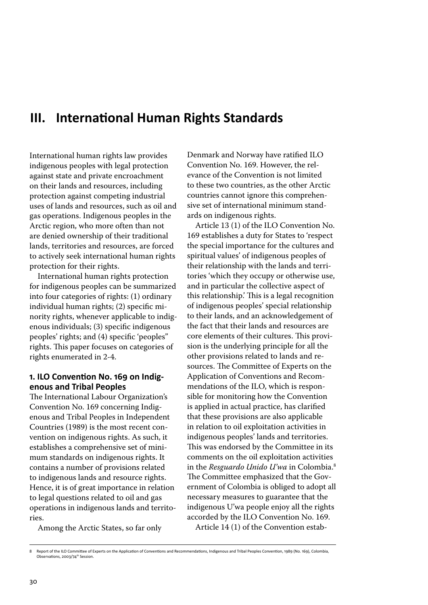# **III. International Human Rights Standards**

International human rights law provides indigenous peoples with legal protection against state and private encroachment on their lands and resources, including protection against competing industrial uses of lands and resources, such as oil and gas operations. Indigenous peoples in the Arctic region, who more often than not are denied ownership of their traditional lands, territories and resources, are forced to actively seek international human rights protection for their rights.

International human rights protection for indigenous peoples can be summarized into four categories of rights: (1) ordinary individual human rights; (2) specific minority rights, whenever applicable to indigenous individuals; (3) specific indigenous peoples' rights; and (4) specific 'peoples'' rights. This paper focuses on categories of rights enumerated in 2-4.

#### **1. ILO Convention No. 169 on Indigenous and Tribal Peoples**

The International Labour Organization's Convention No. 169 concerning Indigenous and Tribal Peoples in Independent Countries (1989) is the most recent convention on indigenous rights. As such, it establishes a comprehensive set of minimum standards on indigenous rights. It contains a number of provisions related to indigenous lands and resource rights. Hence, it is of great importance in relation to legal questions related to oil and gas operations in indigenous lands and territories.

Among the Arctic States, so far only

Denmark and Norway have ratified ILO Convention No. 169. However, the relevance of the Convention is not limited to these two countries, as the other Arctic countries cannot ignore this comprehensive set of international minimum standards on indigenous rights.

Article 13 (1) of the ILO Convention No. 169 establishes a duty for States to 'respect the special importance for the cultures and spiritual values' of indigenous peoples of their relationship with the lands and territories 'which they occupy or otherwise use, and in particular the collective aspect of this relationship.' This is a legal recognition of indigenous peoples' special relationship to their lands, and an acknowledgement of the fact that their lands and resources are core elements of their cultures. This provision is the underlying principle for all the other provisions related to lands and resources. The Committee of Experts on the Application of Conventions and Recommendations of the ILO, which is responsible for monitoring how the Convention is applied in actual practice, has clarified that these provisions are also applicable in relation to oil exploitation activities in indigenous peoples' lands and territories. This was endorsed by the Committee in its comments on the oil exploitation activities in the *Resguardo Unido U'wa* in Colombia.8 The Committee emphasized that the Government of Colombia is obliged to adopt all necessary measures to guarantee that the indigenous U'wa people enjoy all the rights accorded by the ILO Convention No. 169. Article 14 (1) of the Convention estab-

Report of the ILO Committee of Experts on the Application of Conventions and Recommendations, Indigenous and Tribal Peoples Convention, 1989 (No. 169), Colombia, Observations, 2003/74<sup>th</sup> Session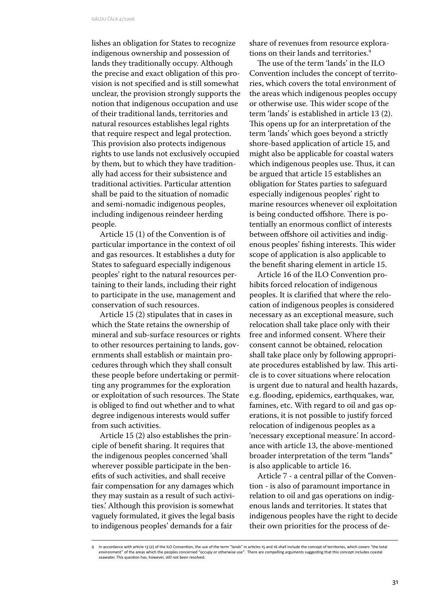lishes an obligation for States to recognize indigenous ownership and possession of lands they traditionally occupy. Although the precise and exact obligation of this provision is not specified and is still somewhat unclear, the provision strongly supports the notion that indigenous occupation and use of their traditional lands, territories and natural resources establishes legal rights that require respect and legal protection. This provision also protects indigenous rights to use lands not exclusively occupied by them, but to which they have traditionally had access for their subsistence and traditional activities. Particular attention shall be paid to the situation of nomadic and semi-nomadic indigenous peoples, including indigenous reindeer herding people.

Article 15 (1) of the Convention is of particular importance in the context of oil and gas resources. It establishes a duty for States to safeguard especially indigenous peoples' right to the natural resources pertaining to their lands, including their right to participate in the use, management and conservation of such resources.

Article 15 (2) stipulates that in cases in which the State retains the ownership of mineral and sub-surface resources or rights to other resources pertaining to lands, governments shall establish or maintain procedures through which they shall consult these people before undertaking or permitting any programmes for the exploration or exploitation of such resources. The State is obliged to find out whether and to what degree indigenous interests would suffer from such activities.

Article 15 (2) also establishes the principle of benefit sharing. It requires that the indigenous peoples concerned 'shall wherever possible participate in the benefits of such activities, and shall receive fair compensation for any damages which they may sustain as a result of such activities.' Although this provision is somewhat vaguely formulated, it gives the legal basis to indigenous peoples' demands for a fair

share of revenues from resource explorations on their lands and territories.<sup>9</sup>

The use of the term 'lands' in the ILO Convention includes the concept of territories, which covers the total environment of the areas which indigenous peoples occupy or otherwise use. This wider scope of the term 'lands' is established in article 13 (2). This opens up for an interpretation of the term 'lands' which goes beyond a strictly shore-based application of article 15, and might also be applicable for coastal waters which indigenous peoples use. Thus, it can be argued that article 15 establishes an obligation for States parties to safeguard especially indigenous peoples' right to marine resources whenever oil exploitation is being conducted offshore. There is potentially an enormous conflict of interests between offshore oil activities and indigenous peoples' fishing interests. This wider scope of application is also applicable to the benefit sharing element in article 15.

Article 16 of the ILO Convention prohibits forced relocation of indigenous peoples. It is clarified that where the relocation of indigenous peoples is considered necessary as an exceptional measure, such relocation shall take place only with their free and informed consent. Where their consent cannot be obtained, relocation shall take place only by following appropriate procedures established by law. This article is to cover situations where relocation is urgent due to natural and health hazards, e.g. flooding, epidemics, earthquakes, war, famines, etc. With regard to oil and gas operations, it is not possible to justify forced relocation of indigenous peoples as a 'necessary exceptional measure.' In accordance with article 13, the above-mentioned broader interpretation of the term "lands" is also applicable to article 16.

Article 7 - a central pillar of the Convention - is also of paramount importance in relation to oil and gas operations on indigenous lands and territories. It states that indigenous peoples have the right to decide their own priorities for the process of de-

In accordance with article 13 (2) of the ILO Convention, the use of the term "lands" in articles 15 and 16 shall include the concept of territories, which covers "the total environment" of the areas which the peoples concerned "occupy or otherwise use". There are compelling arguments suggesting that this concept includes coastal seawater. This question has, however, still not been resolved.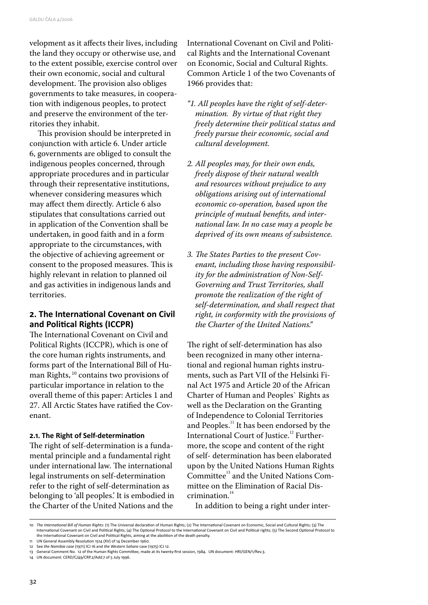velopment as it affects their lives, including the land they occupy or otherwise use, and to the extent possible, exercise control over their own economic, social and cultural development. The provision also obliges governments to take measures, in cooperation with indigenous peoples, to protect and preserve the environment of the territories they inhabit.

This provision should be interpreted in conjunction with article 6. Under article 6, governments are obliged to consult the indigenous peoples concerned, through appropriate procedures and in particular through their representative institutions, whenever considering measures which may affect them directly. Article 6 also stipulates that consultations carried out in application of the Convention shall be undertaken, in good faith and in a form appropriate to the circumstances, with the objective of achieving agreement or consent to the proposed measures. This is highly relevant in relation to planned oil and gas activities in indigenous lands and territories.

### **2. The International Covenant on Civil and Political Rights (ICCPR)**

The International Covenant on Civil and Political Rights (ICCPR), which is one of the core human rights instruments, and forms part of the International Bill of Human Rights,  $^{10}$  contains two provisions of particular importance in relation to the overall theme of this paper: Articles 1 and 27. All Arctic States have ratified the Covenant.

#### **2.1. The Right of Self-determination**

The right of self-determination is a fundamental principle and a fundamental right under international law. The international legal instruments on self-determination refer to the right of self-determination as belonging to 'all peoples.' It is embodied in the Charter of the United Nations and the

International Covenant on Civil and Political Rights and the International Covenant on Economic, Social and Cultural Rights. Common Article 1 of the two Covenants of 1966 provides that:

- *"1. All peoples have the right of self-determination. By virtue of that right they freely determine their political status and freely pursue their economic, social and cultural development.*
- *2. All peoples may, for their own ends, freely dispose of their natural wealth and resources without prejudice to any obligations arising out of international economic co-operation, based upon the principle of mutual benefits, and international law. In no case may a people be deprived of its own means of subsistence.*
- *3. The States Parties to the present Covenant, including those having responsibility for the administration of Non-Self-Governing and Trust Territories, shall promote the realization of the right of self-determination, and shall respect that right, in conformity with the provisions of the Charter of the United Nations."*

The right of self-determination has also been recognized in many other international and regional human rights instruments, such as Part VII of the Helsinki Final Act 1975 and Article 20 of the African Charter of Human and Peoples` Rights as well as the Declaration on the Granting of Independence to Colonial Territories and Peoples.<sup>11</sup> It has been endorsed by the International Court of Justice.<sup>12</sup> Furthermore, the scope and content of the right of self- determination has been elaborated upon by the United Nations Human Rights Committee<sup>13</sup> and the United Nations Committee on the Elimination of Racial Discrimination.<sup>14</sup>

In addition to being a right under inter-

<sup>10</sup> *The International Bill of Human Rights*: (1) The Universal declaration of Human Rights; (2) The International Covenant on Economic, Social and Cultural Rights; (3) The International Covenant on Civil and Political Rights; (4) The Optional Protocol to the International Covenant on Civil and Political rights; (5) The Second Optional Protocol to the International Covenant on Civil and Political Rights, aiming at the abolition of the death penalty.

<sup>11</sup> UN General Assembly Resolution 1514 (XV) of 14 December 1960.

<sup>12</sup> See *the Namibia case* (1971) ICJ 16 and *the Western Sahara* case (1975) ICJ 12.

<sup>13</sup> General Comment No. 12 of the Human Rights Committee, made at its twenty-first session, 1984. UN document: HRI/GEN/1/Rev.3.

<sup>14</sup> UN document: CERD/C/49/CRP.2/Add.7 of 5 July 1996.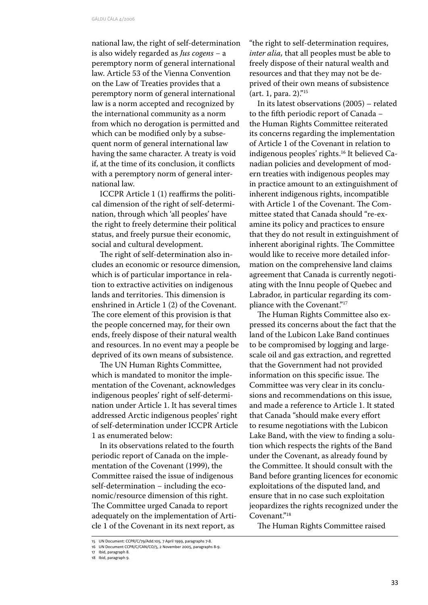national law, the right of self-determination is also widely regarded as *Jus cogens* − a peremptory norm of general international law. Article 53 of the Vienna Convention on the Law of Treaties provides that a peremptory norm of general international law is a norm accepted and recognized by the international community as a norm from which no derogation is permitted and which can be modified only by a subsequent norm of general international law having the same character. A treaty is void if, at the time of its conclusion, it conflicts with a peremptory norm of general international law.

ICCPR Article 1 (1) reaffirms the political dimension of the right of self-determination, through which 'all peoples' have the right to freely determine their political status, and freely pursue their economic, social and cultural development.

The right of self-determination also includes an economic or resource dimension, which is of particular importance in relation to extractive activities on indigenous lands and territories. This dimension is enshrined in Article 1 (2) of the Covenant. The core element of this provision is that the people concerned may, for their own ends, freely dispose of their natural wealth and resources. In no event may a people be deprived of its own means of subsistence.

The UN Human Rights Committee, which is mandated to monitor the implementation of the Covenant, acknowledges indigenous peoples' right of self-determination under Article 1. It has several times addressed Arctic indigenous peoples' right of self-determination under ICCPR Article 1 as enumerated below:

In its observations related to the fourth periodic report of Canada on the implementation of the Covenant (1999), the Committee raised the issue of indigenous self-determination – including the economic/resource dimension of this right. The Committee urged Canada to report adequately on the implementation of Article 1 of the Covenant in its next report, as

In its latest observations (2005) – related to the fifth periodic report of Canada − the Human Rights Committee reiterated its concerns regarding the implementation of Article 1 of the Covenant in relation to indigenous peoples' rights.16 It believed Canadian policies and development of modern treaties with indigenous peoples may in practice amount to an extinguishment of inherent indigenous rights, incompatible with Article 1 of the Covenant. The Committee stated that Canada should "re-examine its policy and practices to ensure that they do not result in extinguishment of inherent aboriginal rights. The Committee would like to receive more detailed information on the comprehensive land claims agreement that Canada is currently negotiating with the Innu people of Quebec and Labrador, in particular regarding its compliance with the Covenant."17

The Human Rights Committee also expressed its concerns about the fact that the land of the Lubicon Lake Band continues to be compromised by logging and largescale oil and gas extraction, and regretted that the Government had not provided information on this specific issue. The Committee was very clear in its conclusions and recommendations on this issue, and made a reference to Article 1. It stated that Canada "should make every effort to resume negotiations with the Lubicon Lake Band, with the view to finding a solution which respects the rights of the Band under the Covenant, as already found by the Committee. It should consult with the Band before granting licences for economic exploitations of the disputed land, and ensure that in no case such exploitation jeopardizes the rights recognized under the Covenant."18

The Human Rights Committee raised

<sup>&</sup>quot;the right to self-determination requires, *inter alia,* that all peoples must be able to freely dispose of their natural wealth and resources and that they may not be deprived of their own means of subsistence (art. 1, para. 2)."15

<sup>15</sup> UN Document: CCPR/C/79/Add.105, 7 April 1999, paragraphs 7-8. 16 UN Document CCPR/C/CAN/CO/5, 2 November 2005, paragraphs 8-9.

<sup>17</sup> Ibid, paragraph 8. 18 Ibid, paragraph 9.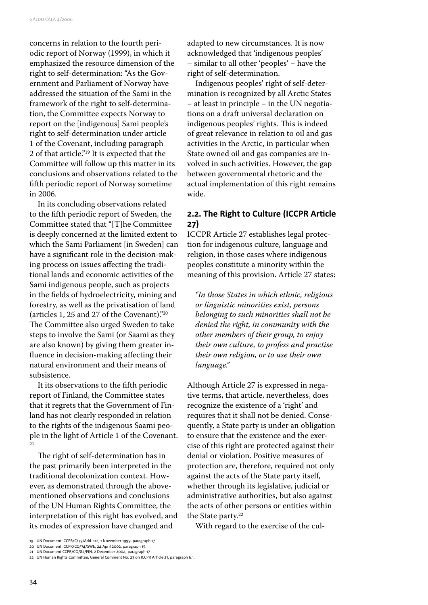concerns in relation to the fourth periodic report of Norway (1999), in which it emphasized the resource dimension of the right to self-determination: "As the Government and Parliament of Norway have addressed the situation of the Sami in the framework of the right to self-determination, the Committee expects Norway to report on the [indigenous] Sami people's right to self-determination under article 1 of the Covenant, including paragraph 2 of that article."19 It is expected that the Committee will follow up this matter in its conclusions and observations related to the fifth periodic report of Norway sometime in 2006.

In its concluding observations related to the fifth periodic report of Sweden, the Committee stated that "[T]he Committee is deeply concerned at the limited extent to which the Sami Parliament [in Sweden] can have a significant role in the decision-making process on issues affecting the traditional lands and economic activities of the Sami indigenous people, such as projects in the fields of hydroelectricity, mining and forestry, as well as the privatisation of land (articles 1, 25 and 27 of the Covenant)."20 The Committee also urged Sweden to take steps to involve the Sami (or Saami as they are also known) by giving them greater influence in decision-making affecting their natural environment and their means of subsistence.

It its observations to the fifth periodic report of Finland, the Committee states that it regrets that the Government of Finland has not clearly responded in relation to the rights of the indigenous Saami people in the light of Article 1 of the Covenant. 21

The right of self-determination has in the past primarily been interpreted in the traditional decolonization context. However, as demonstrated through the abovementioned observations and conclusions of the UN Human Rights Committee, the interpretation of this right has evolved, and its modes of expression have changed and

adapted to new circumstances. It is now acknowledged that 'indigenous peoples' – similar to all other 'peoples' − have the right of self-determination.

Indigenous peoples' right of self-determination is recognized by all Arctic States − at least in principle − in the UN negotiations on a draft universal declaration on indigenous peoples' rights. This is indeed of great relevance in relation to oil and gas activities in the Arctic, in particular when State owned oil and gas companies are involved in such activities. However, the gap between governmental rhetoric and the actual implementation of this right remains wide.

#### **2.2. The Right to Culture (ICCPR Article 27)**

ICCPR Article 27 establishes legal protection for indigenous culture, language and religion, in those cases where indigenous peoples constitute a minority within the meaning of this provision. Article 27 states:

*"In those States in which ethnic, religious or linguistic minorities exist, persons belonging to such minorities shall not be denied the right, in community with the other members of their group, to enjoy their own culture, to profess and practise their own religion, or to use their own language."*

Although Article 27 is expressed in negative terms, that article, nevertheless, does recognize the existence of a 'right' and requires that it shall not be denied. Consequently, a State party is under an obligation to ensure that the existence and the exercise of this right are protected against their denial or violation. Positive measures of protection are, therefore, required not only against the acts of the State party itself, whether through its legislative, judicial or administrative authorities, but also against the acts of other persons or entities within the State party.<sup>22</sup>

With regard to the exercise of the cul-

<sup>19</sup> UN Document: CCPR/C/79/Add. 112, 1 November 1999, paragraph 17. 20 UN Document: CCPR/CO/74/SWE, 24 April 2002, paragraph 15.

<sup>21</sup> UN Document CCPR/CO/82/FIN, 2 December 2004, paragraph 17.

<sup>22</sup> UN Human Rights Committee, General Comment No. 23 on ICCPR Article 27, paragraph 6.1.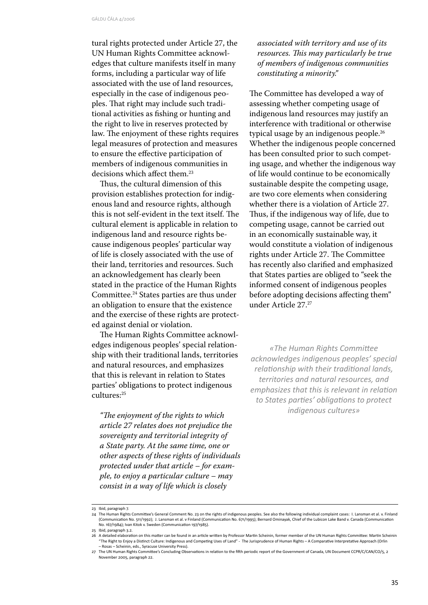tural rights protected under Article 27, the UN Human Rights Committee acknowledges that culture manifests itself in many forms, including a particular way of life associated with the use of land resources, especially in the case of indigenous peoples. That right may include such traditional activities as fishing or hunting and the right to live in reserves protected by law. The enjoyment of these rights requires legal measures of protection and measures to ensure the effective participation of members of indigenous communities in decisions which affect them.<sup>23</sup>

Thus, the cultural dimension of this provision establishes protection for indigenous land and resource rights, although this is not self-evident in the text itself. The cultural element is applicable in relation to indigenous land and resource rights because indigenous peoples' particular way of life is closely associated with the use of their land, territories and resources. Such an acknowledgement has clearly been stated in the practice of the Human Rights Committee.24 States parties are thus under an obligation to ensure that the existence and the exercise of these rights are protected against denial or violation.

The Human Rights Committee acknowledges indigenous peoples' special relationship with their traditional lands, territories and natural resources, and emphasizes that this is relevant in relation to States parties' obligations to protect indigenous cultures:25

*"The enjoyment of the rights to which article 27 relates does not prejudice the sovereignty and territorial integrity of a State party. At the same time, one or other aspects of these rights of individuals protected under that article – for example, to enjoy a particular culture – may consist in a way of life which is closely* 

*associated with territory and use of its resources. This may particularly be true of members of indigenous communities constituting a minority."*

The Committee has developed a way of assessing whether competing usage of indigenous land resources may justify an interference with traditional or otherwise typical usage by an indigenous people.<sup>26</sup> Whether the indigenous people concerned has been consulted prior to such competing usage, and whether the indigenous way of life would continue to be economically sustainable despite the competing usage, are two core elements when considering whether there is a violation of Article 27. Thus, if the indigenous way of life, due to competing usage, cannot be carried out in an economically sustainable way, it would constitute a violation of indigenous rights under Article 27. The Committee has recently also clarified and emphasized that States parties are obliged to "seek the informed consent of indigenous peoples before adopting decisions affecting them" under Article 27.27

*«The Human Rights Committee acknowledges indigenous peoples' special relationship with their traditional lands, territories and natural resources, and emphasizes that this is relevant in relation to States parties' obligations to protect indigenous cultures»*

<sup>23</sup> Ibid, paragraph 7.

<sup>24</sup> The Human Rights Committee's General Comment No. 23 on the rights of indigenous peoples. See also the following individual complaint cases: I. Lansman et al. v. Finland (Communication No. 511/1992); J. Lansman et al. v Finland (Communication No. 671/1995); Bernard Ominayak, Chief of the Lubicon Lake Band v. Canada (Communication No. 167/1984); Ivan Kitok v. Sweden (Communication 197/1985).

<sup>25</sup> Ibid, paragraph 3.2.

<sup>26</sup> A detailed elaboration on this matter can be found in an article written by Professor Martin Scheinin, former member of the UN Human Rights Committee: Martin Scheinin "The Right to Enjoy a Distinct Culture: Indigenous and Competing Uses of Land" - The Jurisprudence of Human Rights – A Comparative Interpretative Approach (Orlin – Rosas – Scheinin, eds., Syracuse University Press).

<sup>27</sup> The UN Human Rights Committee's Concluding Observations in relation to the fifth periodic report of the Government of Canada, UN Document CCPR/C/CAN/CO/5, 2 November 2005, paragraph 22.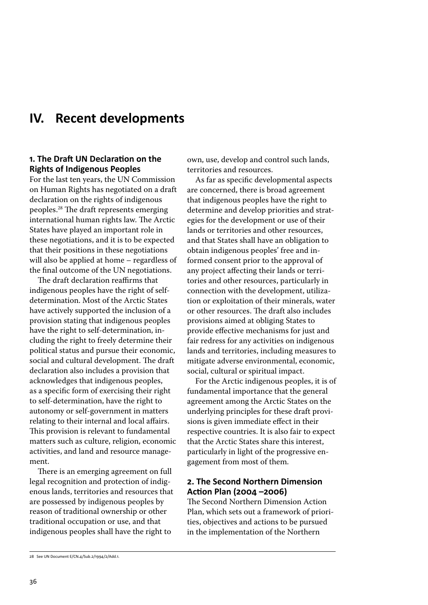# **IV. Recent developments**

#### **1. The Draft UN Declaration on the Rights of Indigenous Peoples**

For the last ten years, the UN Commission on Human Rights has negotiated on a draft declaration on the rights of indigenous peoples.28 The draft represents emerging international human rights law. The Arctic States have played an important role in these negotiations, and it is to be expected that their positions in these negotiations will also be applied at home – regardless of the final outcome of the UN negotiations.

The draft declaration reaffirms that indigenous peoples have the right of selfdetermination. Most of the Arctic States have actively supported the inclusion of a provision stating that indigenous peoples have the right to self-determination, including the right to freely determine their political status and pursue their economic, social and cultural development. The draft declaration also includes a provision that acknowledges that indigenous peoples, as a specific form of exercising their right to self-determination, have the right to autonomy or self-government in matters relating to their internal and local affairs. This provision is relevant to fundamental matters such as culture, religion, economic activities, and land and resource management.

There is an emerging agreement on full legal recognition and protection of indigenous lands, territories and resources that are possessed by indigenous peoples by reason of traditional ownership or other traditional occupation or use, and that indigenous peoples shall have the right to

own, use, develop and control such lands, territories and resources.

As far as specific developmental aspects are concerned, there is broad agreement that indigenous peoples have the right to determine and develop priorities and strategies for the development or use of their lands or territories and other resources, and that States shall have an obligation to obtain indigenous peoples' free and informed consent prior to the approval of any project affecting their lands or territories and other resources, particularly in connection with the development, utilization or exploitation of their minerals, water or other resources. The draft also includes provisions aimed at obliging States to provide effective mechanisms for just and fair redress for any activities on indigenous lands and territories, including measures to mitigate adverse environmental, economic, social, cultural or spiritual impact.

For the Arctic indigenous peoples, it is of fundamental importance that the general agreement among the Arctic States on the underlying principles for these draft provisions is given immediate effect in their respective countries. It is also fair to expect that the Arctic States share this interest, particularly in light of the progressive engagement from most of them.

#### **2. The Second Northern Dimension Action Plan (2004 –2006)**

The Second Northern Dimension Action Plan, which sets out a framework of priorities, objectives and actions to be pursued in the implementation of the Northern

<sup>28</sup> See UN Document E/CN.4/Sub.2/1994/2/Add.1.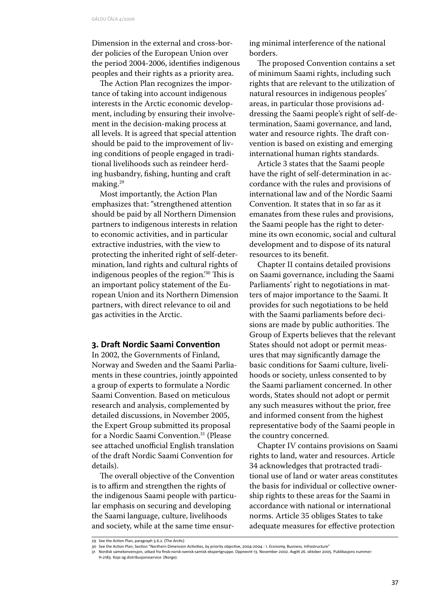Dimension in the external and cross-border policies of the European Union over the period 2004-2006, identifies indigenous peoples and their rights as a priority area.

The Action Plan recognizes the importance of taking into account indigenous interests in the Arctic economic development, including by ensuring their involvement in the decision-making process at all levels. It is agreed that special attention should be paid to the improvement of living conditions of people engaged in traditional livelihoods such as reindeer herding husbandry, fishing, hunting and craft making.<sup>29</sup>

Most importantly, the Action Plan emphasizes that: "strengthened attention should be paid by all Northern Dimension partners to indigenous interests in relation to economic activities, and in particular extractive industries, with the view to protecting the inherited right of self-determination, land rights and cultural rights of indigenous peoples of the region.'30 This is an important policy statement of the European Union and its Northern Dimension partners, with direct relevance to oil and gas activities in the Arctic.

#### **3. Draft Nordic Saami Convention**

In 2002, the Governments of Finland, Norway and Sweden and the Saami Parliaments in these countries, jointly appointed a group of experts to formulate a Nordic Saami Convention. Based on meticulous research and analysis, complemented by detailed discussions, in November 2005, the Expert Group submitted its proposal for a Nordic Saami Convention.<sup>31</sup> (Please see attached unofficial English translation of the draft Nordic Saami Convention for details).

The overall objective of the Convention is to affirm and strengthen the rights of the indigenous Saami people with particular emphasis on securing and developing the Saami language, culture, livelihoods and society, while at the same time ensuring minimal interference of the national borders.

The proposed Convention contains a set of minimum Saami rights, including such rights that are relevant to the utilization of natural resources in indigenous peoples' areas, in particular those provisions addressing the Saami people's right of self-determination, Saami governance, and land, water and resource rights. The draft convention is based on existing and emerging international human rights standards.

Article 3 states that the Saami people have the right of self-determination in accordance with the rules and provisions of international law and of the Nordic Saami Convention. It states that in so far as it emanates from these rules and provisions, the Saami people has the right to determine its own economic, social and cultural development and to dispose of its natural resources to its benefit.

Chapter II contains detailed provisions on Saami governance, including the Saami Parliaments' right to negotiations in matters of major importance to the Saami. It provides for such negotiations to be held with the Saami parliaments before decisions are made by public authorities. The Group of Experts believes that the relevant States should not adopt or permit measures that may significantly damage the basic conditions for Saami culture, livelihoods or society, unless consented to by the Saami parliament concerned. In other words, States should not adopt or permit any such measures without the prior, free and informed consent from the highest representative body of the Saami people in the country concerned.

Chapter IV contains provisions on Saami rights to land, water and resources. Article 34 acknowledges that protracted traditional use of land or water areas constitutes the basis for individual or collective ownership rights to these areas for the Saami in accordance with national or international norms. Article 35 obliges States to take adequate measures for effective protection

<sup>29</sup> See the Action Plan, paragraph 3.6.2. (The Arctic)

<sup>30</sup> See the Action Plan, Section "Northern Dimension Activities, by priority objective, 2004-2004 - 1. Economy, Business, Infrastructure"

<sup>31</sup> Nordisk samekonvensjon, utkast fra finsk-norsk-svensk-samisk ekspertgruppe. Oppnevnt 13. November 2002. Avgitt 26. oktober 2005. Publikasjons nummer: H-2183. Kopi og distribusjonsservice (Norge).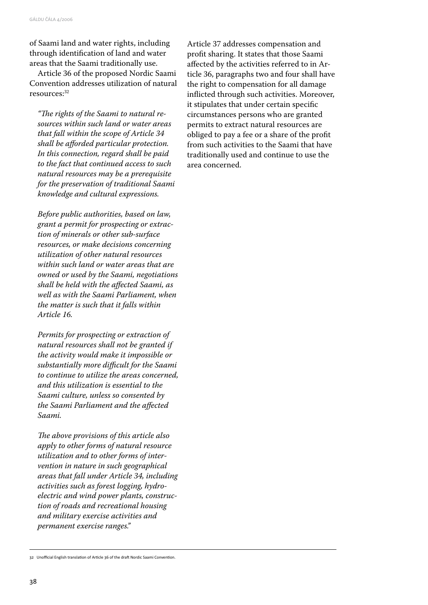of Saami land and water rights, including through identification of land and water areas that the Saami traditionally use.

Article 36 of the proposed Nordic Saami Convention addresses utilization of natural resources:32

*"The rights of the Saami to natural resources within such land or water areas that fall within the scope of Article 34 shall be afforded particular protection. In this connection, regard shall be paid to the fact that continued access to such natural resources may be a prerequisite for the preservation of traditional Saami knowledge and cultural expressions.*

*Before public authorities, based on law, grant a permit for prospecting or extraction of minerals or other sub-surface resources, or make decisions concerning utilization of other natural resources within such land or water areas that are owned or used by the Saami, negotiations shall be held with the affected Saami, as well as with the Saami Parliament, when the matter is such that it falls within Article 16.*

*Permits for prospecting or extraction of natural resources shall not be granted if the activity would make it impossible or substantially more difficult for the Saami to continue to utilize the areas concerned, and this utilization is essential to the Saami culture, unless so consented by the Saami Parliament and the affected Saami.*

*The above provisions of this article also apply to other forms of natural resource utilization and to other forms of intervention in nature in such geographical areas that fall under Article 34, including activities such as forest logging, hydroelectric and wind power plants, construction of roads and recreational housing and military exercise activities and permanent exercise ranges."*

Article 37 addresses compensation and profit sharing. It states that those Saami affected by the activities referred to in Article 36, paragraphs two and four shall have the right to compensation for all damage inflicted through such activities. Moreover, it stipulates that under certain specific circumstances persons who are granted permits to extract natural resources are obliged to pay a fee or a share of the profit from such activities to the Saami that have traditionally used and continue to use the area concerned.

<sup>32</sup> Unofficial English translation of Article 36 of the draft Nordic Saami Convention.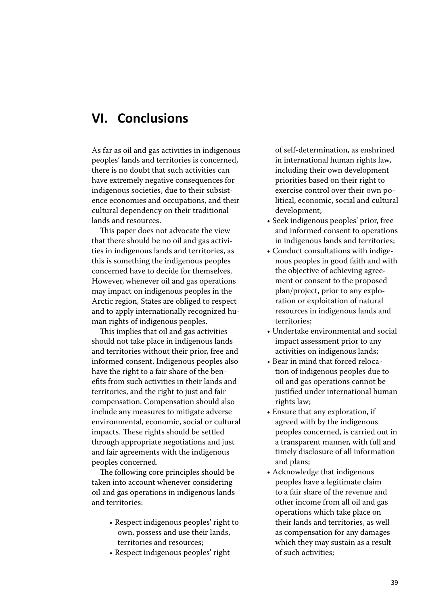# **VI. Conclusions**

As far as oil and gas activities in indigenous peoples' lands and territories is concerned, there is no doubt that such activities can have extremely negative consequences for indigenous societies, due to their subsistence economies and occupations, and their cultural dependency on their traditional lands and resources.

This paper does not advocate the view that there should be no oil and gas activities in indigenous lands and territories, as this is something the indigenous peoples concerned have to decide for themselves. However, whenever oil and gas operations may impact on indigenous peoples in the Arctic region, States are obliged to respect and to apply internationally recognized human rights of indigenous peoples.

This implies that oil and gas activities should not take place in indigenous lands and territories without their prior, free and informed consent. Indigenous peoples also have the right to a fair share of the benefits from such activities in their lands and territories, and the right to just and fair compensation. Compensation should also include any measures to mitigate adverse environmental, economic, social or cultural impacts. These rights should be settled through appropriate negotiations and just and fair agreements with the indigenous peoples concerned.

The following core principles should be taken into account whenever considering oil and gas operations in indigenous lands and territories:

- Respect indigenous peoples' right to own, possess and use their lands, territories and resources;
- Respect indigenous peoples' right

of self-determination, as enshrined in international human rights law, including their own development priorities based on their right to exercise control over their own political, economic, social and cultural development;

- Seek indigenous peoples' prior, free and informed consent to operations in indigenous lands and territories;
- Conduct consultations with indigenous peoples in good faith and with the objective of achieving agreement or consent to the proposed plan/project, prior to any exploration or exploitation of natural resources in indigenous lands and territories;
- Undertake environmental and social impact assessment prior to any activities on indigenous lands;
- Bear in mind that forced relocation of indigenous peoples due to oil and gas operations cannot be justified under international human rights law;
- Ensure that any exploration, if agreed with by the indigenous peoples concerned, is carried out in a transparent manner, with full and timely disclosure of all information and plans;
- Acknowledge that indigenous peoples have a legitimate claim to a fair share of the revenue and other income from all oil and gas operations which take place on their lands and territories, as well as compensation for any damages which they may sustain as a result of such activities;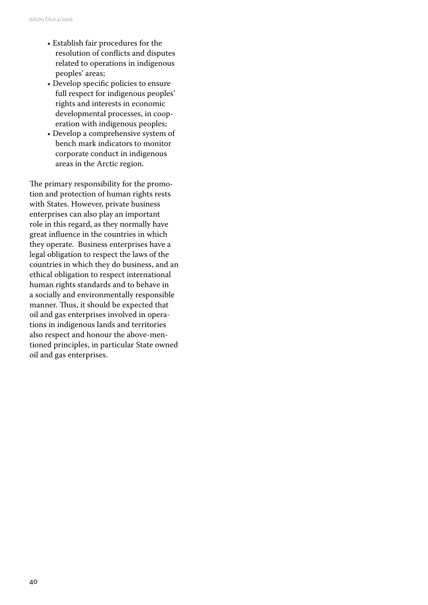- Establish fair procedures for the resolution of conflicts and disputes related to operations in indigenous peoples' areas;
- Develop specific policies to ensure full respect for indigenous peoples' rights and interests in economic developmental processes, in cooperation with indigenous peoples;
- Develop a comprehensive system of bench mark indicators to monitor corporate conduct in indigenous areas in the Arctic region.

The primary responsibility for the promotion and protection of human rights rests with States. However, private business enterprises can also play an important role in this regard, as they normally have great influence in the countries in which they operate. Business enterprises have a legal obligation to respect the laws of the countries in which they do business, and an ethical obligation to respect international human rights standards and to behave in a socially and environmentally responsible manner. Thus, it should be expected that oil and gas enterprises involved in operations in indigenous lands and territories also respect and honour the above-mentioned principles, in particular State owned oil and gas enterprises.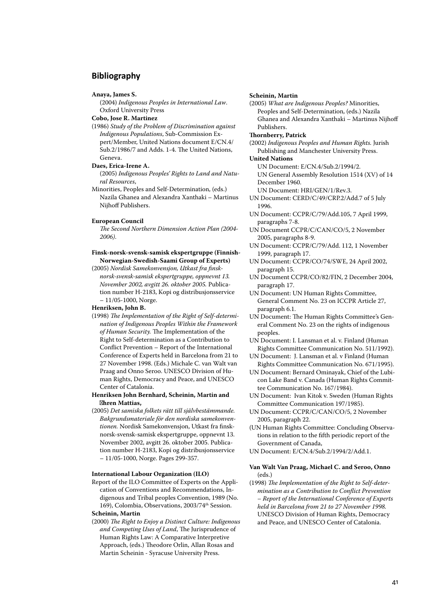#### **Bibliography**

**Anaya, James S.**

(2004) *Indigenous Peoples in International Law*. Oxford University Press

#### **Cobo, Jose R. Martinez**

(1986) *Study of the Problem of Discrimination against Indigenous Populations*, Sub-Commission Expert/Member, United Nations document E/CN.4/ Sub.2/1986/7 and Adds. 1-4. The United Nations, Geneva.

#### **Daes, Erica-Irene A.**

(2005) *Indigenous Peoples' Rights to Land and Natural Resources*,

Minorities, Peoples and Self-Determination, (eds.) Nazila Ghanea and Alexandra Xanthaki – Martinus Nijhoff Publishers.

#### **European Council**

*The Second Northern Dimension Action Plan (2004- 2006)*.

#### **Finsk-norsk-svensk-samisk ekspertgruppe (Finnish-Norwegian-Swedish-Saami Group of Experts)**

(2005) *Nordisk Samekonvensjon, Utkast fra finsknorsk-svensk-samisk ekspertgruppe, oppnevnt 13. November 2002, avgitt 26. oktober 2005.* Publication number H-2183, Kopi og distribusjonsservice – 11/05-1000, Norge.

#### **Henriksen, John B.**

(1998) *The Implementation of the Right of Self-determination of Indigenous Peoples Within the Framework of Human Security.* The Implementation of the Right to Self-determination as a Contribution to Conflict Prevention – Report of the International Conference of Experts held in Barcelona from 21 to 27 November 1998. (Eds.) Michale C. van Walt van Praag and Onno Seroo. UNESCO Division of Human Rights, Democracy and Peace, and UNESCO Center of Catalonia.

#### **Henriksen John Bernhard, Scheinin, Martin and Ǻhren Mattias,**

(2005) *Det samiska folkets rätt till självbestämmande. Bakgrundsmateriale för den nordiska samekonventionen.* Nordisk Samekonvensjon, Utkast fra finsknorsk-svensk-samisk ekspertgruppe, oppnevnt 13. November 2002, avgitt 26. oktober 2005. Publication number H-2183, Kopi og distribusjonsservice – 11/05-1000, Norge. Pages 299-357.

#### **International Labour Organization (ILO)**

Report of the ILO Committee of Experts on the Application of Conventions and Recommendations, Indigenous and Tribal peoples Convention, 1989 (No. 169), Colombia, Observations, 2003/74<sup>th</sup> Session.

#### **Scheinin, Martin**

(2000) *The Right to Enjoy a Distinct Culture: Indigenous and Competing Uses of Land*, The Jurisprudence of Human Rights Law: A Comparative Interpretive Approach, (eds.) Theodore Orlin, Allan Rosas and Martin Scheinin - Syracuse University Press.

#### **Scheinin, Martin**

(2005) *What are Indigenous Peoples?* Minorities, Peoples and Self-Determination, (eds.) Nazila Ghanea and Alexandra Xanthaki – Martinus Nijhoff Publishers.

#### **Thornberry, Patrick**

(2002) *Indigenous Peoples and Human Rights.* Jurish Publishing and Manchester University Press.

#### **United Nations**

UN Document: E/CN.4/Sub.2/1994/2. UN General Assembly Resolution 1514 (XV) of 14 December 1960.

UN Document: HRI/GEN/1/Rev.3.

- UN Document: CERD/C/49/CRP.2/Add.7 of 5 July 1996.
- UN Document: CCPR/C/79/Add.105, 7 April 1999, paragraphs 7-8.
- UN Document CCPR/C/CAN/CO/5, 2 November 2005, paragraphs 8-9.
- UN Document: CCPR/C/79/Add. 112, 1 November 1999, paragraph 17.
- UN Document: CCPR/CO/74/SWE, 24 April 2002, paragraph 15.
- UN Document CCPR/CO/82/FIN, 2 December 2004, paragraph 17.
- UN Document: UN Human Rights Committee, General Comment No. 23 on ICCPR Article 27, paragraph 6.1.
- UN Document: The Human Rights Committee's General Comment No. 23 on the rights of indigenous peoples.
- UN Document: I. Lansman et al. v. Finland (Human Rights Committee Communication No. 511/1992).
- UN Document: J. Lansman et al. v Finland (Human Rights Committee Communication No. 671/1995).
- UN Document: Bernard Ominayak, Chief of the Lubicon Lake Band v. Canada (Human Rights Committee Communication No. 167/1984).
- UN Document: Ivan Kitok v. Sweden (Human Rights Committee Communication 197/1985).
- UN Document: CCPR/C/CAN/CO/5, 2 November 2005, paragraph 22.
- (UN Human Rights Committee: Concluding Observations in relation to the fifth periodic report of the Government of Canada,
- UN Document: E/CN.4/Sub.2/1994/2/Add.1.

#### **Van Walt Van Praag, Michael C. and Seroo, Onno** (eds.)

(1998) *The Implementation of the Right to Self-determination as a Contribution to Conflict Prevention – Report of the International Conference of Experts held in Barcelona from 21 to 27 November 1998.* UNESCO Division of Human Rights, Democracy and Peace, and UNESCO Center of Catalonia.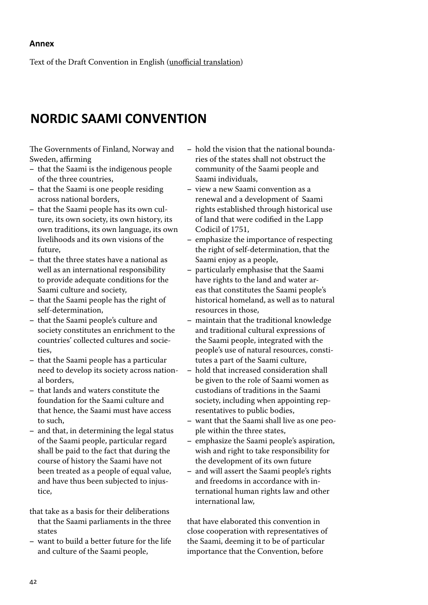Text of the Draft Convention in English (unofficial translation)

# **NORDIC SAAMI CONVENTION**

The Governments of Finland, Norway and Sweden, affirming

- − that the Saami is the indigenous people of the three countries,
- − that the Saami is one people residing across national borders,
- − that the Saami people has its own culture, its own society, its own history, its own traditions, its own language, its own livelihoods and its own visions of the future,
- − that the three states have a national as well as an international responsibility to provide adequate conditions for the Saami culture and society,
- − that the Saami people has the right of self-determination,
- − that the Saami people's culture and society constitutes an enrichment to the countries' collected cultures and societies,
- − that the Saami people has a particular need to develop its society across national borders,
- − that lands and waters constitute the foundation for the Saami culture and that hence, the Saami must have access to such,
- − and that, in determining the legal status of the Saami people, particular regard shall be paid to the fact that during the course of history the Saami have not been treated as a people of equal value, and have thus been subjected to injustice,

that take as a basis for their deliberations that the Saami parliaments in the three states

− want to build a better future for the life and culture of the Saami people,

- − hold the vision that the national boundaries of the states shall not obstruct the community of the Saami people and Saami individuals,
- − view a new Saami convention as a renewal and a development of Saami rights established through historical use of land that were codified in the Lapp Codicil of 1751,
- − emphasize the importance of respecting the right of self-determination, that the Saami enjoy as a people,
- − particularly emphasise that the Saami have rights to the land and water areas that constitutes the Saami people's historical homeland, as well as to natural resources in those,
- − maintain that the traditional knowledge and traditional cultural expressions of the Saami people, integrated with the people's use of natural resources, constitutes a part of the Saami culture,
- hold that increased consideration shall be given to the role of Saami women as custodians of traditions in the Saami society, including when appointing representatives to public bodies,
- − want that the Saami shall live as one people within the three states,
- − emphasize the Saami people's aspiration, wish and right to take responsibility for the development of its own future
- − and will assert the Saami people's rights and freedoms in accordance with international human rights law and other international law,

that have elaborated this convention in close cooperation with representatives of the Saami, deeming it to be of particular importance that the Convention, before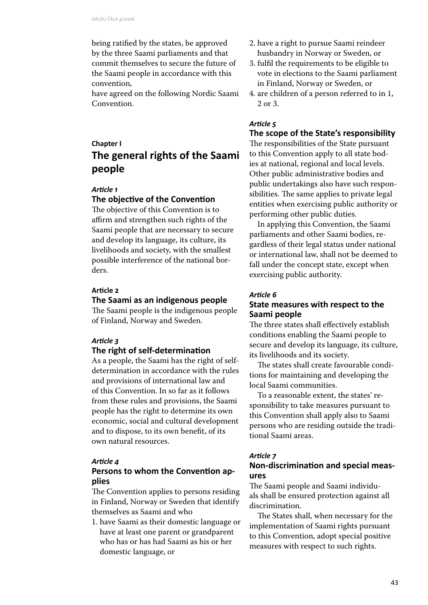being ratified by the states, be approved by the three Saami parliaments and that commit themselves to secure the future of the Saami people in accordance with this convention,

have agreed on the following Nordic Saami Convention.

#### **Chapter I**

# **The general rights of the Saami people**

#### *Article 1*

#### **The objective of the Convention**

The objective of this Convention is to affirm and strengthen such rights of the Saami people that are necessary to secure and develop its language, its culture, its livelihoods and society, with the smallest possible interference of the national borders.

#### **Article 2**

#### **The Saami as an indigenous people**

The Saami people is the indigenous people of Finland, Norway and Sweden.

#### *Article 3*

#### **The right of self-determination**

As a people, the Saami has the right of selfdetermination in accordance with the rules and provisions of international law and of this Convention. In so far as it follows from these rules and provisions, the Saami people has the right to determine its own economic, social and cultural development and to dispose, to its own benefit, of its own natural resources.

#### *Article 4*

#### **Persons to whom the Convention applies**

The Convention applies to persons residing in Finland, Norway or Sweden that identify themselves as Saami and who

1. have Saami as their domestic language or have at least one parent or grandparent who has or has had Saami as his or her domestic language, or

- 2. have a right to pursue Saami reindeer husbandry in Norway or Sweden, or
- 3. fulfil the requirements to be eligible to vote in elections to the Saami parliament in Finland, Norway or Sweden, or
- 4. are children of a person referred to in 1, 2 or 3.

#### *Article 5*

#### **The scope of the State's responsibility**

The responsibilities of the State pursuant to this Convention apply to all state bodies at national, regional and local levels. Other public administrative bodies and public undertakings also have such responsibilities. The same applies to private legal entities when exercising public authority or performing other public duties.

In applying this Convention, the Saami parliaments and other Saami bodies, regardless of their legal status under national or international law, shall not be deemed to fall under the concept state, except when exercising public authority.

#### *Article 6*

#### **State measures with respect to the Saami people**

The three states shall effectively establish conditions enabling the Saami people to secure and develop its language, its culture, its livelihoods and its society.

The states shall create favourable conditions for maintaining and developing the local Saami communities.

To a reasonable extent, the states' responsibility to take measures pursuant to this Convention shall apply also to Saami persons who are residing outside the traditional Saami areas.

#### *Article 7*

#### **Non-discrimination and special measures**

The Saami people and Saami individuals shall be ensured protection against all discrimination.

The States shall, when necessary for the implementation of Saami rights pursuant to this Convention, adopt special positive measures with respect to such rights.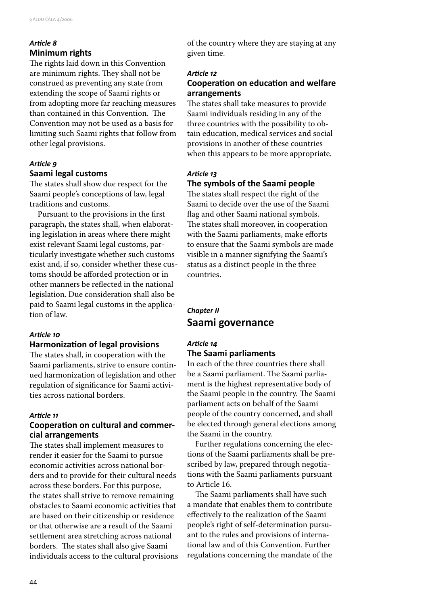#### *Article 8* **Minimum rights**

The rights laid down in this Convention are minimum rights. They shall not be construed as preventing any state from extending the scope of Saami rights or from adopting more far reaching measures than contained in this Convention. The Convention may not be used as a basis for limiting such Saami rights that follow from other legal provisions.

### *Article 9*

#### **Saami legal customs**

The states shall show due respect for the Saami people's conceptions of law, legal traditions and customs.

Pursuant to the provisions in the first paragraph, the states shall, when elaborating legislation in areas where there might exist relevant Saami legal customs, particularly investigate whether such customs exist and, if so, consider whether these customs should be afforded protection or in other manners be reflected in the national legislation. Due consideration shall also be paid to Saami legal customs in the application of law.

#### *Article 10*

#### **Harmonization of legal provisions**

The states shall, in cooperation with the Saami parliaments, strive to ensure continued harmonization of legislation and other regulation of significance for Saami activities across national borders.

#### *Article 11*

#### **Cooperation on cultural and commercial arrangements**

The states shall implement measures to render it easier for the Saami to pursue economic activities across national borders and to provide for their cultural needs across these borders. For this purpose, the states shall strive to remove remaining obstacles to Saami economic activities that are based on their citizenship or residence or that otherwise are a result of the Saami settlement area stretching across national borders. The states shall also give Saami individuals access to the cultural provisions of the country where they are staying at any given time.

#### *Article 12*

#### **Cooperation on education and welfare arrangements**

The states shall take measures to provide Saami individuals residing in any of the three countries with the possibility to obtain education, medical services and social provisions in another of these countries when this appears to be more appropriate.

#### *Article 13* **The symbols of the Saami people**

The states shall respect the right of the Saami to decide over the use of the Saami flag and other Saami national symbols. The states shall moreover, in cooperation with the Saami parliaments, make efforts to ensure that the Saami symbols are made visible in a manner signifying the Saami's status as a distinct people in the three countries.

## *Chapter II* **Saami governance**

#### *Article 14* **The Saami parliaments**

In each of the three countries there shall be a Saami parliament. The Saami parliament is the highest representative body of the Saami people in the country. The Saami parliament acts on behalf of the Saami people of the country concerned, and shall be elected through general elections among the Saami in the country.

Further regulations concerning the elections of the Saami parliaments shall be prescribed by law, prepared through negotiations with the Saami parliaments pursuant to Article 16.

The Saami parliaments shall have such a mandate that enables them to contribute effectively to the realization of the Saami people's right of self-determination pursuant to the rules and provisions of international law and of this Convention. Further regulations concerning the mandate of the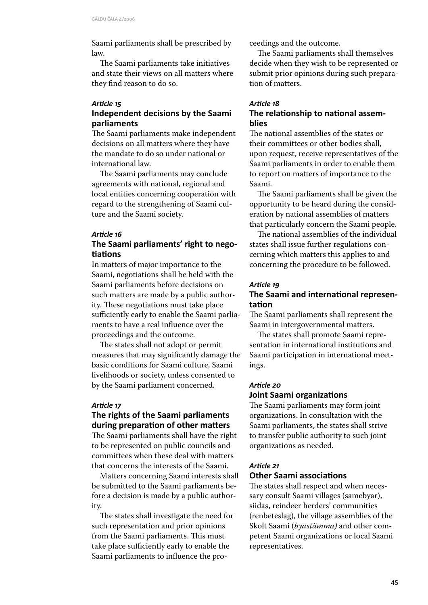Saami parliaments shall be prescribed by law.

The Saami parliaments take initiatives and state their views on all matters where they find reason to do so.

#### *Article 15*

#### **Independent decisions by the Saami parliaments**

The Saami parliaments make independent decisions on all matters where they have the mandate to do so under national or international law.

The Saami parliaments may conclude agreements with national, regional and local entities concerning cooperation with regard to the strengthening of Saami culture and the Saami society.

#### *Article 16*

#### **The Saami parliaments' right to negotiations**

In matters of major importance to the Saami, negotiations shall be held with the Saami parliaments before decisions on such matters are made by a public authority. These negotiations must take place sufficiently early to enable the Saami parliaments to have a real influence over the proceedings and the outcome.

The states shall not adopt or permit measures that may significantly damage the basic conditions for Saami culture, Saami livelihoods or society, unless consented to by the Saami parliament concerned.

#### *Article 17*

### **The rights of the Saami parliaments during preparation of other matters**

The Saami parliaments shall have the right to be represented on public councils and committees when these deal with matters that concerns the interests of the Saami.

Matters concerning Saami interests shall be submitted to the Saami parliaments before a decision is made by a public authority.

The states shall investigate the need for such representation and prior opinions from the Saami parliaments. This must take place sufficiently early to enable the Saami parliaments to influence the proceedings and the outcome.

The Saami parliaments shall themselves decide when they wish to be represented or submit prior opinions during such preparation of matters.

#### *Article 18*

#### **The relationship to national assemblies**

The national assemblies of the states or their committees or other bodies shall, upon request, receive representatives of the Saami parliaments in order to enable them to report on matters of importance to the Saami.

The Saami parliaments shall be given the opportunity to be heard during the consideration by national assemblies of matters that particularly concern the Saami people.

The national assemblies of the individual states shall issue further regulations concerning which matters this applies to and concerning the procedure to be followed.

#### *Article 19*

#### **The Saami and international representation**

The Saami parliaments shall represent the Saami in intergovernmental matters.

The states shall promote Saami representation in international institutions and Saami participation in international meetings.

#### *Article 20*

#### **Joint Saami organizations**

The Saami parliaments may form joint organizations. In consultation with the Saami parliaments, the states shall strive to transfer public authority to such joint organizations as needed.

#### *Article 21*

#### **Other Saami associations**

The states shall respect and when necessary consult Saami villages (samebyar), siidas, reindeer herders' communities (renbeteslag), the village assemblies of the Skolt Saami (*byastämma)* and other competent Saami organizations or local Saami representatives.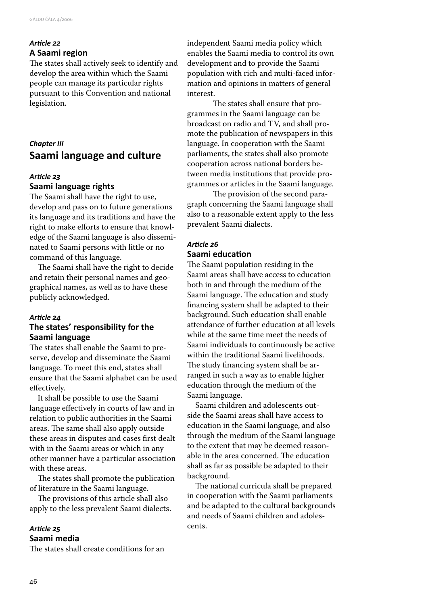#### *Article 22* **A Saami region**

The states shall actively seek to identify and develop the area within which the Saami people can manage its particular rights pursuant to this Convention and national legislation.

# *Chapter III* **Saami language and culture**

### *Article 23* **Saami language rights**

The Saami shall have the right to use, develop and pass on to future generations its language and its traditions and have the right to make efforts to ensure that knowledge of the Saami language is also disseminated to Saami persons with little or no command of this language.

The Saami shall have the right to decide and retain their personal names and geographical names, as well as to have these publicly acknowledged.

#### *Article 24*

### **The states' responsibility for the Saami language**

The states shall enable the Saami to preserve, develop and disseminate the Saami language. To meet this end, states shall ensure that the Saami alphabet can be used effectively.

It shall be possible to use the Saami language effectively in courts of law and in relation to public authorities in the Saami areas. The same shall also apply outside these areas in disputes and cases first dealt with in the Saami areas or which in any other manner have a particular association with these areas.

The states shall promote the publication of literature in the Saami language.

The provisions of this article shall also apply to the less prevalent Saami dialects.

#### *Article 25* **Saami media**

The states shall create conditions for an

independent Saami media policy which enables the Saami media to control its own development and to provide the Saami population with rich and multi-faced information and opinions in matters of general interest.

The states shall ensure that programmes in the Saami language can be broadcast on radio and TV, and shall promote the publication of newspapers in this language. In cooperation with the Saami parliaments, the states shall also promote cooperation across national borders between media institutions that provide programmes or articles in the Saami language.

The provision of the second paragraph concerning the Saami language shall also to a reasonable extent apply to the less prevalent Saami dialects.

### *Article 26* **Saami education**

The Saami population residing in the Saami areas shall have access to education both in and through the medium of the Saami language. The education and study financing system shall be adapted to their background. Such education shall enable attendance of further education at all levels while at the same time meet the needs of Saami individuals to continuously be active within the traditional Saami livelihoods. The study financing system shall be arranged in such a way as to enable higher education through the medium of the Saami language.

Saami children and adolescents outside the Saami areas shall have access to education in the Saami language, and also through the medium of the Saami language to the extent that may be deemed reasonable in the area concerned. The education shall as far as possible be adapted to their background.

The national curricula shall be prepared in cooperation with the Saami parliaments and be adapted to the cultural backgrounds and needs of Saami children and adolescents.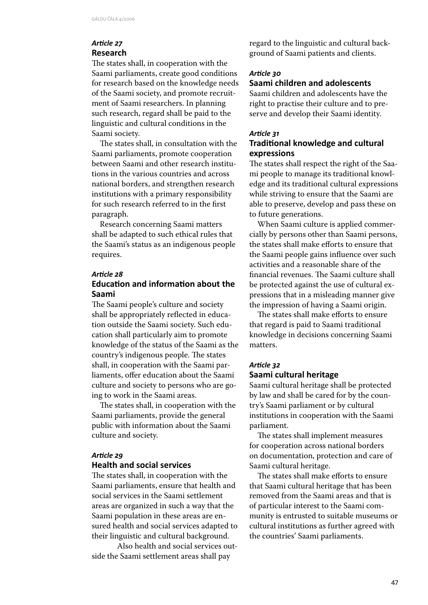#### *Article 27* **Research**

The states shall, in cooperation with the Saami parliaments, create good conditions for research based on the knowledge needs of the Saami society, and promote recruitment of Saami researchers. In planning such research, regard shall be paid to the linguistic and cultural conditions in the Saami society.

The states shall, in consultation with the Saami parliaments, promote cooperation between Saami and other research institutions in the various countries and across national borders, and strengthen research institutions with a primary responsibility for such research referred to in the first paragraph.

Research concerning Saami matters shall be adapted to such ethical rules that the Saami's status as an indigenous people requires.

#### *Article 28*

#### **Education and information about the Saami**

The Saami people's culture and society shall be appropriately reflected in education outside the Saami society. Such education shall particularly aim to promote knowledge of the status of the Saami as the country's indigenous people. The states shall, in cooperation with the Saami parliaments, offer education about the Saami culture and society to persons who are going to work in the Saami areas.

The states shall, in cooperation with the Saami parliaments, provide the general public with information about the Saami culture and society.

#### *Article 29*

#### **Health and social services**

The states shall, in cooperation with the Saami parliaments, ensure that health and social services in the Saami settlement areas are organized in such a way that the Saami population in these areas are ensured health and social services adapted to their linguistic and cultural background.

Also health and social services outside the Saami settlement areas shall pay

regard to the linguistic and cultural background of Saami patients and clients.

#### *Article 30*

#### **Saami children and adolescents**

Saami children and adolescents have the right to practise their culture and to preserve and develop their Saami identity.

#### *Article 31*

#### **Traditional knowledge and cultural expressions**

The states shall respect the right of the Saami people to manage its traditional knowledge and its traditional cultural expressions while striving to ensure that the Saami are able to preserve, develop and pass these on to future generations.

When Saami culture is applied commercially by persons other than Saami persons, the states shall make efforts to ensure that the Saami people gains influence over such activities and a reasonable share of the financial revenues. The Saami culture shall be protected against the use of cultural expressions that in a misleading manner give the impression of having a Saami origin.

The states shall make efforts to ensure that regard is paid to Saami traditional knowledge in decisions concerning Saami matters.

#### *Article 32* **Saami cultural heritage**

Saami cultural heritage shall be protected by law and shall be cared for by the country's Saami parliament or by cultural institutions in cooperation with the Saami parliament.

The states shall implement measures for cooperation across national borders on documentation, protection and care of Saami cultural heritage.

The states shall make efforts to ensure that Saami cultural heritage that has been removed from the Saami areas and that is of particular interest to the Saami community is entrusted to suitable museums or cultural institutions as further agreed with the countries' Saami parliaments.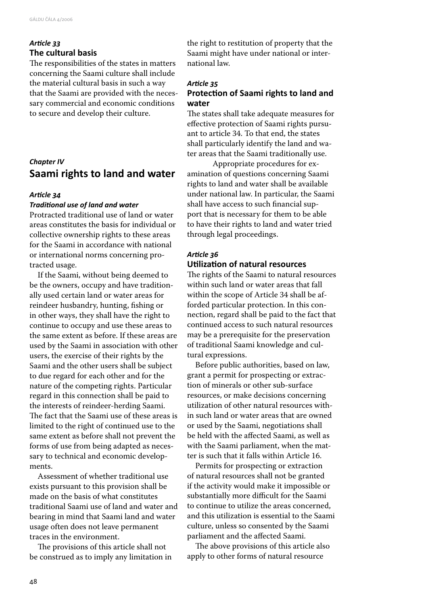### *Article 33* **The cultural basis**

The responsibilities of the states in matters concerning the Saami culture shall include the material cultural basis in such a way that the Saami are provided with the necessary commercial and economic conditions to secure and develop their culture.

# *Chapter IV* **Saami rights to land and water**

#### *Article 34*

#### *Traditional use of land and water*

Protracted traditional use of land or water areas constitutes the basis for individual or collective ownership rights to these areas for the Saami in accordance with national or international norms concerning protracted usage.

If the Saami, without being deemed to be the owners, occupy and have traditionally used certain land or water areas for reindeer husbandry, hunting, fishing or in other ways, they shall have the right to continue to occupy and use these areas to the same extent as before. If these areas are used by the Saami in association with other users, the exercise of their rights by the Saami and the other users shall be subject to due regard for each other and for the nature of the competing rights. Particular regard in this connection shall be paid to the interests of reindeer-herding Saami. The fact that the Saami use of these areas is limited to the right of continued use to the same extent as before shall not prevent the forms of use from being adapted as necessary to technical and economic developments.

Assessment of whether traditional use exists pursuant to this provision shall be made on the basis of what constitutes traditional Saami use of land and water and bearing in mind that Saami land and water usage often does not leave permanent traces in the environment.

The provisions of this article shall not be construed as to imply any limitation in the right to restitution of property that the Saami might have under national or international law.

#### *Article 35* **Protection of Saami rights to land and water**

The states shall take adequate measures for effective protection of Saami rights pursuant to article 34. To that end, the states shall particularly identify the land and water areas that the Saami traditionally use.

Appropriate procedures for examination of questions concerning Saami rights to land and water shall be available under national law. In particular, the Saami shall have access to such financial support that is necessary for them to be able to have their rights to land and water tried through legal proceedings.

#### *Article 36* **Utilization of natural resources**

The rights of the Saami to natural resources within such land or water areas that fall within the scope of Article 34 shall be afforded particular protection. In this connection, regard shall be paid to the fact that continued access to such natural resources may be a prerequisite for the preservation of traditional Saami knowledge and cultural expressions.

Before public authorities, based on law, grant a permit for prospecting or extraction of minerals or other sub-surface resources, or make decisions concerning utilization of other natural resources within such land or water areas that are owned or used by the Saami, negotiations shall be held with the affected Saami, as well as with the Saami parliament, when the matter is such that it falls within Article 16.

Permits for prospecting or extraction of natural resources shall not be granted if the activity would make it impossible or substantially more difficult for the Saami to continue to utilize the areas concerned, and this utilization is essential to the Saami culture, unless so consented by the Saami parliament and the affected Saami.

The above provisions of this article also apply to other forms of natural resource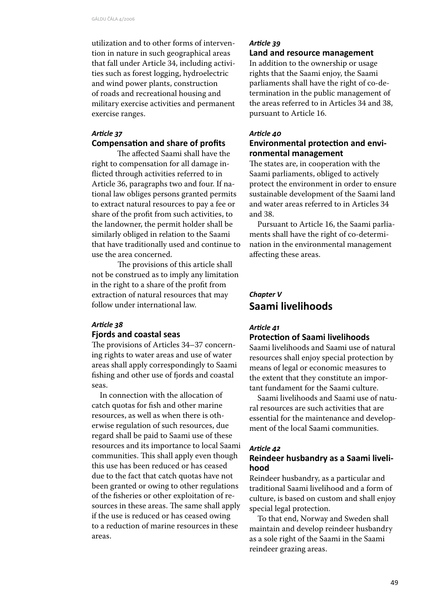utilization and to other forms of intervention in nature in such geographical areas that fall under Article 34, including activities such as forest logging, hydroelectric and wind power plants, construction of roads and recreational housing and military exercise activities and permanent exercise ranges.

#### *Article 37* **Compensation and share of profits**

The affected Saami shall have the right to compensation for all damage inflicted through activities referred to in Article 36, paragraphs two and four. If national law obliges persons granted permits to extract natural resources to pay a fee or share of the profit from such activities, to the landowner, the permit holder shall be similarly obliged in relation to the Saami that have traditionally used and continue to use the area concerned.

The provisions of this article shall not be construed as to imply any limitation in the right to a share of the profit from extraction of natural resources that may follow under international law.

#### *Article 38*

#### **Fjords and coastal seas**

The provisions of Articles 34–37 concerning rights to water areas and use of water areas shall apply correspondingly to Saami fishing and other use of fjords and coastal seas.

In connection with the allocation of catch quotas for fish and other marine resources, as well as when there is otherwise regulation of such resources, due regard shall be paid to Saami use of these resources and its importance to local Saami communities. This shall apply even though this use has been reduced or has ceased due to the fact that catch quotas have not been granted or owing to other regulations of the fisheries or other exploitation of resources in these areas. The same shall apply if the use is reduced or has ceased owing to a reduction of marine resources in these areas.

### *Article 39*

#### **Land and resource management**

In addition to the ownership or usage rights that the Saami enjoy, the Saami parliaments shall have the right of co-determination in the public management of the areas referred to in Articles 34 and 38, pursuant to Article 16.

#### *Article 40*

#### **Environmental protection and environmental management**

The states are, in cooperation with the Saami parliaments, obliged to actively protect the environment in order to ensure sustainable development of the Saami land and water areas referred to in Articles 34 and 38.

Pursuant to Article 16, the Saami parliaments shall have the right of co-determination in the environmental management affecting these areas.

### *Chapter V* **Saami livelihoods**

#### *Article 41*

#### **Protection of Saami livelihoods**

Saami livelihoods and Saami use of natural resources shall enjoy special protection by means of legal or economic measures to the extent that they constitute an important fundament for the Saami culture.

Saami livelihoods and Saami use of natural resources are such activities that are essential for the maintenance and development of the local Saami communities.

#### *Article 42*

#### **Reindeer husbandry as a Saami livelihood**

Reindeer husbandry, as a particular and traditional Saami livelihood and a form of culture, is based on custom and shall enjoy special legal protection.

To that end, Norway and Sweden shall maintain and develop reindeer husbandry as a sole right of the Saami in the Saami reindeer grazing areas.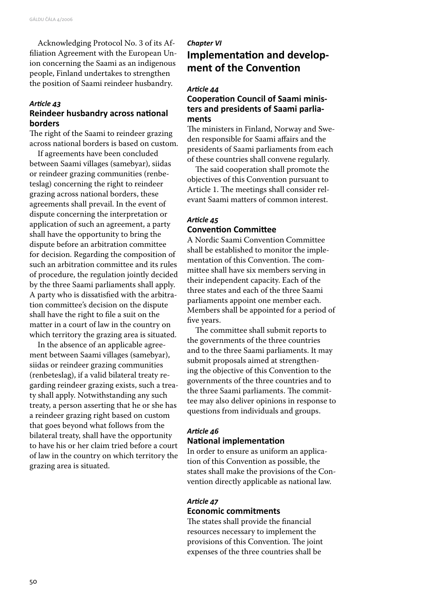Acknowledging Protocol No. 3 of its Affiliation Agreement with the European Union concerning the Saami as an indigenous people, Finland undertakes to strengthen the position of Saami reindeer husbandry.

#### *Article 43* **Reindeer husbandry across national borders**

The right of the Saami to reindeer grazing across national borders is based on custom.

If agreements have been concluded between Saami villages (samebyar), siidas or reindeer grazing communities (renbeteslag) concerning the right to reindeer grazing across national borders, these agreements shall prevail. In the event of dispute concerning the interpretation or application of such an agreement, a party shall have the opportunity to bring the dispute before an arbitration committee for decision. Regarding the composition of such an arbitration committee and its rules of procedure, the regulation jointly decided by the three Saami parliaments shall apply. A party who is dissatisfied with the arbitration committee's decision on the dispute shall have the right to file a suit on the matter in a court of law in the country on which territory the grazing area is situated.

In the absence of an applicable agreement between Saami villages (samebyar), siidas or reindeer grazing communities (renbeteslag), if a valid bilateral treaty regarding reindeer grazing exists, such a treaty shall apply. Notwithstanding any such treaty, a person asserting that he or she has a reindeer grazing right based on custom that goes beyond what follows from the bilateral treaty, shall have the opportunity to have his or her claim tried before a court of law in the country on which territory the grazing area is situated.

## *Chapter VI* **Implementation and development of the Convention**

#### *Article 44*

#### **Cooperation Council of Saami ministers and presidents of Saami parliaments**

The ministers in Finland, Norway and Sweden responsible for Saami affairs and the presidents of Saami parliaments from each of these countries shall convene regularly.

The said cooperation shall promote the objectives of this Convention pursuant to Article 1. The meetings shall consider relevant Saami matters of common interest.

#### *Article 45* **Convention Committee**

A Nordic Saami Convention Committee shall be established to monitor the implementation of this Convention. The committee shall have six members serving in their independent capacity. Each of the three states and each of the three Saami parliaments appoint one member each. Members shall be appointed for a period of five years.

The committee shall submit reports to the governments of the three countries and to the three Saami parliaments. It may submit proposals aimed at strengthening the objective of this Convention to the governments of the three countries and to the three Saami parliaments. The committee may also deliver opinions in response to questions from individuals and groups.

#### *Article 46* **National implementation**

In order to ensure as uniform an application of this Convention as possible, the states shall make the provisions of the Convention directly applicable as national law.

#### *Article 47* **Economic commitments**

The states shall provide the financial resources necessary to implement the provisions of this Convention. The joint expenses of the three countries shall be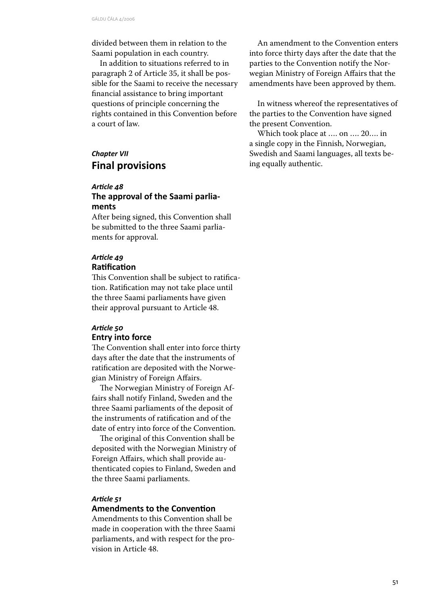divided between them in relation to the Saami population in each country.

In addition to situations referred to in paragraph 2 of Article 35, it shall be possible for the Saami to receive the necessary financial assistance to bring important questions of principle concerning the rights contained in this Convention before a court of law.

## *Chapter VII* **Final provisions**

#### *Article 48* **The approval of the Saami parliaments**

After being signed, this Convention shall be submitted to the three Saami parliaments for approval.

#### *Article 49* **Ratification**

This Convention shall be subject to ratification. Ratification may not take place until the three Saami parliaments have given their approval pursuant to Article 48.

#### *Article 50* **Entry into force**

The Convention shall enter into force thirty days after the date that the instruments of ratification are deposited with the Norwegian Ministry of Foreign Affairs.

The Norwegian Ministry of Foreign Affairs shall notify Finland, Sweden and the three Saami parliaments of the deposit of the instruments of ratification and of the date of entry into force of the Convention.

The original of this Convention shall be deposited with the Norwegian Ministry of Foreign Affairs, which shall provide authenticated copies to Finland, Sweden and the three Saami parliaments.

#### *Article 51*

#### **Amendments to the Convention**

Amendments to this Convention shall be made in cooperation with the three Saami parliaments, and with respect for the provision in Article 48.

An amendment to the Convention enters into force thirty days after the date that the parties to the Convention notify the Norwegian Ministry of Foreign Affairs that the amendments have been approved by them.

In witness whereof the representatives of the parties to the Convention have signed the present Convention.

Which took place at …. on …. 20…. in a single copy in the Finnish, Norwegian, Swedish and Saami languages, all texts being equally authentic.